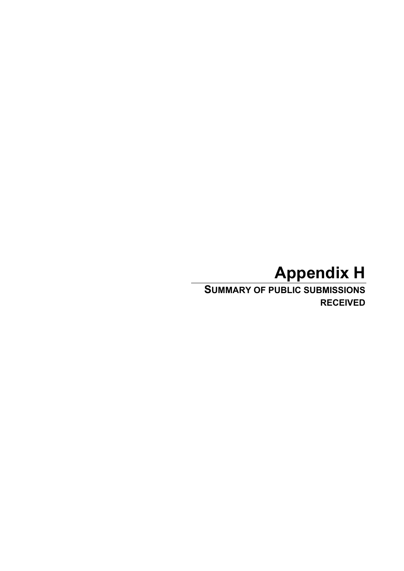## **Appendix H**

**SUMMARY OF PUBLIC SUBMISSIONS RECEIVED**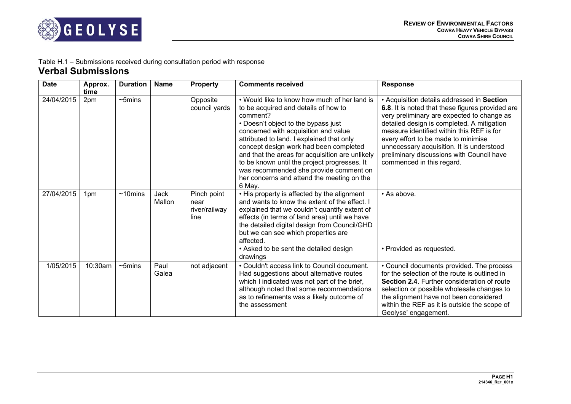

## Table H.1 – Submissions received during consultation period with response **Verbal Submissions**

| <b>Date</b> | Approx.<br>time | <b>Duration</b> | <b>Name</b>    | <b>Property</b>                              | <b>Comments received</b>                                                                                                                                                                                                                                                                                                                                                                                                                                                    | <b>Response</b>                                                                                                                                                                                                                                                                                                                                                                                       |
|-------------|-----------------|-----------------|----------------|----------------------------------------------|-----------------------------------------------------------------------------------------------------------------------------------------------------------------------------------------------------------------------------------------------------------------------------------------------------------------------------------------------------------------------------------------------------------------------------------------------------------------------------|-------------------------------------------------------------------------------------------------------------------------------------------------------------------------------------------------------------------------------------------------------------------------------------------------------------------------------------------------------------------------------------------------------|
| 24/04/2015  | 2pm             | $\sim$ 5mins    |                | Opposite<br>council yards                    | • Would like to know how much of her land is<br>to be acquired and details of how to<br>comment?<br>• Doesn't object to the bypass just<br>concerned with acquisition and value<br>attributed to land. I explained that only<br>concept design work had been completed<br>and that the areas for acquisition are unlikely<br>to be known until the project progresses. It<br>was recommended she provide comment on<br>her concerns and attend the meeting on the<br>6 May. | • Acquisition details addressed in Section<br>6.8. It is noted that these figures provided are<br>very preliminary are expected to change as<br>detailed design is completed. A mitigation<br>measure identified within this REF is for<br>every effort to be made to minimise<br>unnecessary acquisition. It is understood<br>preliminary discussions with Council have<br>commenced in this regard. |
| 27/04/2015  | 1pm             | $~10$ mins      | Jack<br>Mallon | Pinch point<br>near<br>river/railway<br>line | . His property is affected by the alignment<br>and wants to know the extent of the effect. I<br>explained that we couldn't quantify extent of<br>effects (in terms of land area) until we have<br>the detailed digital design from Council/GHD<br>but we can see which properties are<br>affected.<br>• Asked to be sent the detailed design<br>drawings                                                                                                                    | • As above.<br>• Provided as requested.                                                                                                                                                                                                                                                                                                                                                               |
| 1/05/2015   | 10:30am         | $\sim$ 5mins    | Paul<br>Galea  | not adjacent                                 | • Couldn't access link to Council document.<br>Had suggestions about alternative routes<br>which I indicated was not part of the brief,<br>although noted that some recommendations<br>as to refinements was a likely outcome of<br>the assessment                                                                                                                                                                                                                          | • Council documents provided. The process<br>for the selection of the route is outlined in<br>Section 2.4. Further consideration of route<br>selection or possible wholesale changes to<br>the alignment have not been considered<br>within the REF as it is outside the scope of<br>Geolyse' engagement.                                                                                             |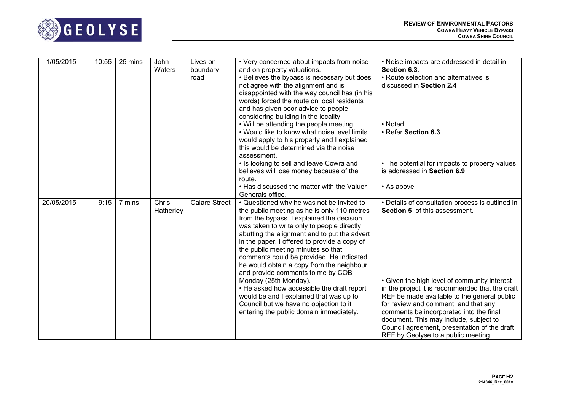

| 1/05/2015  | 10:55 | 25 mins | John<br>Waters     | Lives on<br>boundary<br>road | • Very concerned about impacts from noise<br>and on property valuations.<br>• Believes the bypass is necessary but does<br>not agree with the alignment and is<br>disappointed with the way council has (in his<br>words) forced the route on local residents<br>and has given poor advice to people                                                                                                                                                                                                                                                                                                                                                           | • Noise impacts are addressed in detail in<br>Section 6.3.<br>• Route selection and alternatives is<br>discussed in Section 2.4                                                                                                                                                                                                                                                                                                                                |
|------------|-------|---------|--------------------|------------------------------|----------------------------------------------------------------------------------------------------------------------------------------------------------------------------------------------------------------------------------------------------------------------------------------------------------------------------------------------------------------------------------------------------------------------------------------------------------------------------------------------------------------------------------------------------------------------------------------------------------------------------------------------------------------|----------------------------------------------------------------------------------------------------------------------------------------------------------------------------------------------------------------------------------------------------------------------------------------------------------------------------------------------------------------------------------------------------------------------------------------------------------------|
|            |       |         |                    |                              | considering building in the locality.<br>• Will be attending the people meeting.<br>• Would like to know what noise level limits<br>would apply to his property and I explained<br>this would be determined via the noise<br>assessment.                                                                                                                                                                                                                                                                                                                                                                                                                       | • Noted<br>• Refer Section 6.3                                                                                                                                                                                                                                                                                                                                                                                                                                 |
|            |       |         |                    |                              | • Is looking to sell and leave Cowra and<br>believes will lose money because of the<br>route.                                                                                                                                                                                                                                                                                                                                                                                                                                                                                                                                                                  | • The potential for impacts to property values<br>is addressed in Section 6.9                                                                                                                                                                                                                                                                                                                                                                                  |
|            |       |         |                    |                              | . Has discussed the matter with the Valuer<br>Generals office.                                                                                                                                                                                                                                                                                                                                                                                                                                                                                                                                                                                                 | • As above                                                                                                                                                                                                                                                                                                                                                                                                                                                     |
| 20/05/2015 | 9:15  | 7 mins  | Chris<br>Hatherley | <b>Calare Street</b>         | • Questioned why he was not be invited to<br>the public meeting as he is only 110 metres<br>from the bypass. I explained the decision<br>was taken to write only to people directly<br>abutting the alignment and to put the advert<br>in the paper. I offered to provide a copy of<br>the public meeting minutes so that<br>comments could be provided. He indicated<br>he would obtain a copy from the neighbour<br>and provide comments to me by COB<br>Monday (25th Monday).<br>• He asked how accessible the draft report<br>would be and I explained that was up to<br>Council but we have no objection to it<br>entering the public domain immediately. | • Details of consultation process is outlined in<br><b>Section 5</b> of this assessment.<br>• Given the high level of community interest<br>in the project it is recommended that the draft<br>REF be made available to the general public<br>for review and comment, and that any<br>comments be incorporated into the final<br>document. This may include, subject to<br>Council agreement, presentation of the draft<br>REF by Geolyse to a public meeting. |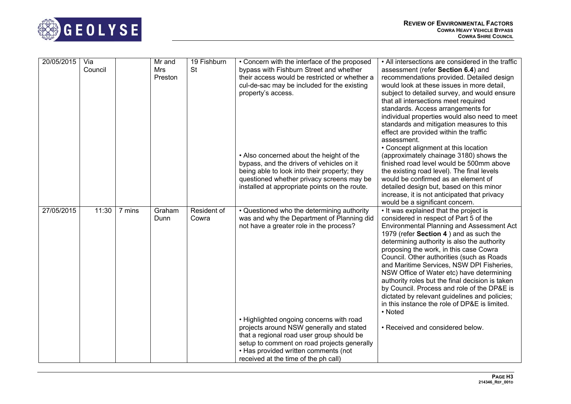

| 20/05/2015 | Via<br>Council |        | Mr and<br>Mrs<br>Preston | 19 Fishburn<br><b>St</b> | • Concern with the interface of the proposed<br>bypass with Fishburn Street and whether<br>their access would be restricted or whether a<br>cul-de-sac may be included for the existing<br>property's access.                                                    | • All intersections are considered in the traffic<br>assessment (refer Section 6.4) and<br>recommendations provided. Detailed design<br>would look at these issues in more detail,<br>subject to detailed survey, and would ensure<br>that all intersections meet required<br>standards. Access arrangements for<br>individual properties would also need to meet<br>standards and mitigation measures to this<br>effect are provided within the traffic<br>assessment.<br>• Concept alignment at this location                                                                                                        |
|------------|----------------|--------|--------------------------|--------------------------|------------------------------------------------------------------------------------------------------------------------------------------------------------------------------------------------------------------------------------------------------------------|------------------------------------------------------------------------------------------------------------------------------------------------------------------------------------------------------------------------------------------------------------------------------------------------------------------------------------------------------------------------------------------------------------------------------------------------------------------------------------------------------------------------------------------------------------------------------------------------------------------------|
|            |                |        |                          |                          | • Also concerned about the height of the<br>bypass, and the drivers of vehicles on it<br>being able to look into their property; they<br>questioned whether privacy screens may be<br>installed at appropriate points on the route.                              | (approximately chainage 3180) shows the<br>finished road level would be 500mm above<br>the existing road level). The final levels<br>would be confirmed as an element of<br>detailed design but, based on this minor<br>increase, it is not anticipated that privacy<br>would be a significant concern.                                                                                                                                                                                                                                                                                                                |
| 27/05/2015 | 11:30          | 7 mins | Graham<br>Dunn           | Resident of<br>Cowra     | . Questioned who the determining authority<br>was and why the Department of Planning did<br>not have a greater role in the process?                                                                                                                              | . It was explained that the project is<br>considered in respect of Part 5 of the<br>Environmental Planning and Assessment Act<br>1979 (refer Section 4) and as such the<br>determining authority is also the authority<br>proposing the work, in this case Cowra<br>Council. Other authorities (such as Roads<br>and Maritime Services, NSW DPI Fisheries,<br>NSW Office of Water etc) have determining<br>authority roles but the final decision is taken<br>by Council. Process and role of the DP&E is<br>dictated by relevant guidelines and policies;<br>in this instance the role of DP&E is limited.<br>• Noted |
|            |                |        |                          |                          | • Highlighted ongoing concerns with road<br>projects around NSW generally and stated<br>that a regional road user group should be<br>setup to comment on road projects generally<br>• Has provided written comments (not<br>received at the time of the ph call) | • Received and considered below.                                                                                                                                                                                                                                                                                                                                                                                                                                                                                                                                                                                       |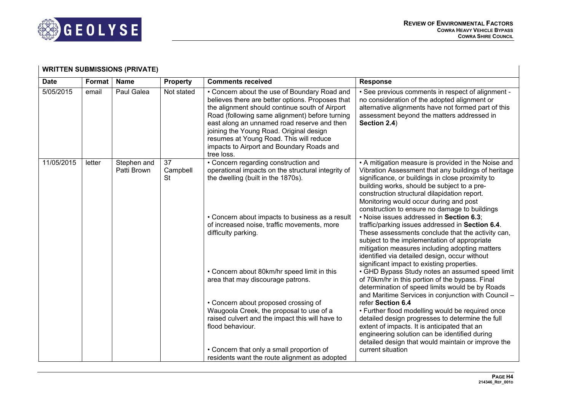

## **WRITTEN SUBMISSIONS (PRIVATE)**

| <b>Date</b> | Format | <b>Name</b>                | <b>Property</b>             | <b>Comments received</b>                                                                                                                                                                                                                                                                                                                                                                             | <b>Response</b>                                                                                                                                                                                                                                                                                                                                          |
|-------------|--------|----------------------------|-----------------------------|------------------------------------------------------------------------------------------------------------------------------------------------------------------------------------------------------------------------------------------------------------------------------------------------------------------------------------------------------------------------------------------------------|----------------------------------------------------------------------------------------------------------------------------------------------------------------------------------------------------------------------------------------------------------------------------------------------------------------------------------------------------------|
| 5/05/2015   | email  | Paul Galea                 | Not stated                  | • Concern about the use of Boundary Road and<br>believes there are better options. Proposes that<br>the alignment should continue south of Airport<br>Road (following same alignment) before turning<br>east along an unnamed road reserve and then<br>joining the Young Road. Original design<br>resumes at Young Road. This will reduce<br>impacts to Airport and Boundary Roads and<br>tree loss. | • See previous comments in respect of alignment -<br>no consideration of the adopted alignment or<br>alternative alignments have not formed part of this<br>assessment beyond the matters addressed in<br>Section 2.4)                                                                                                                                   |
| 11/05/2015  | letter | Stephen and<br>Patti Brown | 37<br>Campbell<br><b>St</b> | • Concern regarding construction and<br>operational impacts on the structural integrity of<br>the dwelling (built in the 1870s).                                                                                                                                                                                                                                                                     | • A mitigation measure is provided in the Noise and<br>Vibration Assessment that any buildings of heritage<br>significance, or buildings in close proximity to<br>building works, should be subject to a pre-<br>construction structural dilapidation report.<br>Monitoring would occur during and post<br>construction to ensure no damage to buildings |
|             |        |                            |                             | • Concern about impacts to business as a result<br>of increased noise, traffic movements, more<br>difficulty parking.                                                                                                                                                                                                                                                                                | . Noise issues addressed in Section 6.3;<br>traffic/parking issues addressed in Section 6.4.<br>These assessments conclude that the activity can,<br>subject to the implementation of appropriate<br>mitigation measures including adopting matters<br>identified via detailed design, occur without<br>significant impact to existing properties.       |
|             |        |                            |                             | • Concern about 80km/hr speed limit in this<br>area that may discourage patrons.                                                                                                                                                                                                                                                                                                                     | • GHD Bypass Study notes an assumed speed limit<br>of 70km/hr in this portion of the bypass. Final<br>determination of speed limits would be by Roads<br>and Maritime Services in conjunction with Council -                                                                                                                                             |
|             |        |                            |                             | • Concern about proposed crossing of<br>Waugoola Creek, the proposal to use of a                                                                                                                                                                                                                                                                                                                     | refer Section 6.4<br>• Further flood modelling would be required once                                                                                                                                                                                                                                                                                    |
|             |        |                            |                             | raised culvert and the impact this will have to<br>flood behaviour.                                                                                                                                                                                                                                                                                                                                  | detailed design progresses to determine the full<br>extent of impacts. It is anticipated that an<br>engineering solution can be identified during<br>detailed design that would maintain or improve the                                                                                                                                                  |
|             |        |                            |                             | • Concern that only a small proportion of<br>residents want the route alignment as adopted                                                                                                                                                                                                                                                                                                           | current situation                                                                                                                                                                                                                                                                                                                                        |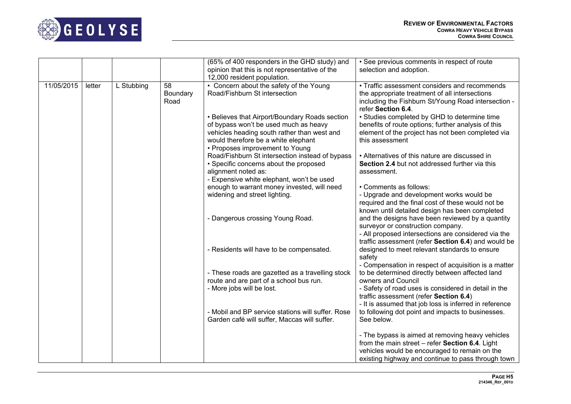

|            |        |            |                        | (65% of 400 responders in the GHD study) and                                                                                                                                                                     | • See previous comments in respect of route                                                                                                                                                                                     |
|------------|--------|------------|------------------------|------------------------------------------------------------------------------------------------------------------------------------------------------------------------------------------------------------------|---------------------------------------------------------------------------------------------------------------------------------------------------------------------------------------------------------------------------------|
|            |        |            |                        | opinion that this is not representative of the                                                                                                                                                                   | selection and adoption.                                                                                                                                                                                                         |
|            |        |            |                        | 12,000 resident population.                                                                                                                                                                                      |                                                                                                                                                                                                                                 |
| 11/05/2015 | letter | L Stubbing | 58<br>Boundary<br>Road | • Concern about the safety of the Young<br>Road/Fishburn St intersection                                                                                                                                         | • Traffic assessment considers and recommends<br>the appropriate treatment of all intersections<br>including the Fishburn St/Young Road intersection -<br>refer Section 6.4.                                                    |
|            |        |            |                        | • Believes that Airport/Boundary Roads section<br>of bypass won't be used much as heavy<br>vehicles heading south rather than west and<br>would therefore be a white elephant<br>• Proposes improvement to Young | • Studies completed by GHD to determine time<br>benefits of route options; further analysis of this<br>element of the project has not been completed via<br>this assessment                                                     |
|            |        |            |                        | Road/Fishburn St intersection instead of bypass<br>• Specific concerns about the proposed<br>alignment noted as:<br>- Expensive white elephant, won't be used                                                    | • Alternatives of this nature are discussed in<br>Section 2.4 but not addressed further via this<br>assessment.                                                                                                                 |
|            |        |            |                        | enough to warrant money invested, will need<br>widening and street lighting.                                                                                                                                     | • Comments as follows:<br>- Upgrade and development works would be                                                                                                                                                              |
|            |        |            |                        |                                                                                                                                                                                                                  | required and the final cost of these would not be<br>known until detailed design has been completed                                                                                                                             |
|            |        |            |                        | - Dangerous crossing Young Road.                                                                                                                                                                                 | and the designs have been reviewed by a quantity<br>surveyor or construction company.<br>- All proposed intersections are considered via the<br>traffic assessment (refer Section 6.4) and would be                             |
|            |        |            |                        | - Residents will have to be compensated.                                                                                                                                                                         | designed to meet relevant standards to ensure<br>safety                                                                                                                                                                         |
|            |        |            |                        | - These roads are gazetted as a travelling stock<br>route and are part of a school bus run.<br>- More jobs will be lost.                                                                                         | - Compensation in respect of acquisition is a matter<br>to be determined directly between affected land<br>owners and Council<br>- Safety of road uses is considered in detail in the<br>traffic assessment (refer Section 6.4) |
|            |        |            |                        | - Mobil and BP service stations will suffer. Rose                                                                                                                                                                | - It is assumed that job loss is inferred in reference<br>to following dot point and impacts to businesses.                                                                                                                     |
|            |        |            |                        | Garden café will suffer, Maccas will suffer.                                                                                                                                                                     | See below.                                                                                                                                                                                                                      |
|            |        |            |                        |                                                                                                                                                                                                                  | - The bypass is aimed at removing heavy vehicles<br>from the main street - refer Section 6.4. Light<br>vehicles would be encouraged to remain on the<br>existing highway and continue to pass through town                      |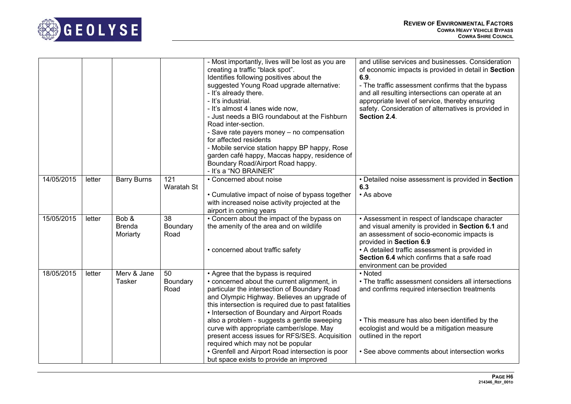

|            |        |                                    |                        | - Most importantly, lives will be lost as you are<br>creating a traffic "black spot".<br>Identifies following positives about the<br>suggested Young Road upgrade alternative:<br>- It's already there.<br>- It's industrial.<br>- It's almost 4 lanes wide now.<br>- Just needs a BIG roundabout at the Fishburn<br>Road inter-section.<br>- Save rate payers money - no compensation<br>for affected residents<br>- Mobile service station happy BP happy, Rose<br>garden café happy, Maccas happy, residence of<br>Boundary Road/Airport Road happy.<br>- It's a "NO BRAINER" | and utilise services and businesses. Consideration<br>of economic impacts is provided in detail in Section<br>6.9.<br>- The traffic assessment confirms that the bypass<br>and all resulting intersections can operate at an<br>appropriate level of service, thereby ensuring<br>safety. Consideration of alternatives is provided in<br>Section 2.4. |
|------------|--------|------------------------------------|------------------------|----------------------------------------------------------------------------------------------------------------------------------------------------------------------------------------------------------------------------------------------------------------------------------------------------------------------------------------------------------------------------------------------------------------------------------------------------------------------------------------------------------------------------------------------------------------------------------|--------------------------------------------------------------------------------------------------------------------------------------------------------------------------------------------------------------------------------------------------------------------------------------------------------------------------------------------------------|
| 14/05/2015 | letter | <b>Barry Burns</b>                 | 121<br>Waratah St      | • Concerned about noise<br>• Cumulative impact of noise of bypass together<br>with increased noise activity projected at the<br>airport in coming years                                                                                                                                                                                                                                                                                                                                                                                                                          | • Detailed noise assessment is provided in Section<br>6.3<br>• As above                                                                                                                                                                                                                                                                                |
| 15/05/2015 | letter | Bob &<br><b>Brenda</b><br>Moriarty | 38<br>Boundary<br>Road | • Concern about the impact of the bypass on<br>the amenity of the area and on wildlife<br>• concerned about traffic safety                                                                                                                                                                                                                                                                                                                                                                                                                                                       | • Assessment in respect of landscape character<br>and visual amenity is provided in Section 6.1 and<br>an assessment of socio-economic impacts is<br>provided in Section 6.9<br>• A detailed traffic assessment is provided in<br>Section 6.4 which confirms that a safe road<br>environment can be provided                                           |
| 18/05/2015 | letter | Merv & Jane<br><b>Tasker</b>       | 50<br>Boundary<br>Road | • Agree that the bypass is required<br>• concerned about the current alignment, in<br>particular the intersection of Boundary Road<br>and Olympic Highway. Believes an upgrade of<br>this intersection is required due to past fatalities<br>• Intersection of Boundary and Airport Roads<br>also a problem - suggests a gentle sweeping<br>curve with appropriate camber/slope. May<br>present access issues for RFS/SES. Acquisition<br>required which may not be popular<br>• Grenfell and Airport Road intersection is poor<br>but space exists to provide an improved       | • Noted<br>• The traffic assessment considers all intersections<br>and confirms required intersection treatments<br>• This measure has also been identified by the<br>ecologist and would be a mitigation measure<br>outlined in the report<br>• See above comments about intersection works                                                           |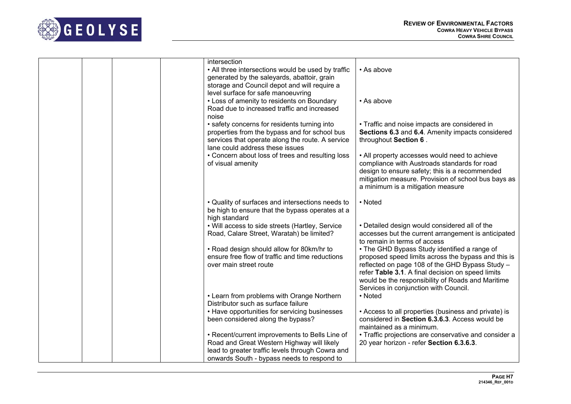

| intersection<br>• All three intersections would be used by traffic<br>generated by the saleyards, abattoir, grain<br>storage and Council depot and will require a<br>level surface for safe manoeuvring<br>• Loss of amenity to residents on Boundary<br>Road due to increased traffic and increased<br>noise | • As above<br>• As above                                                                                                                                                                                                                                                                                  |
|---------------------------------------------------------------------------------------------------------------------------------------------------------------------------------------------------------------------------------------------------------------------------------------------------------------|-----------------------------------------------------------------------------------------------------------------------------------------------------------------------------------------------------------------------------------------------------------------------------------------------------------|
| • safety concerns for residents turning into<br>properties from the bypass and for school bus<br>services that operate along the route. A service<br>lane could address these issues                                                                                                                          | • Traffic and noise impacts are considered in<br>Sections 6.3 and 6.4. Amenity impacts considered<br>throughout Section 6.                                                                                                                                                                                |
| • Concern about loss of trees and resulting loss<br>of visual amenity                                                                                                                                                                                                                                         | • All property accesses would need to achieve<br>compliance with Austroads standards for road<br>design to ensure safety; this is a recommended<br>mitigation measure. Provision of school bus bays as<br>a minimum is a mitigation measure                                                               |
| • Quality of surfaces and intersections needs to<br>be high to ensure that the bypass operates at a<br>high standard                                                                                                                                                                                          | • Noted                                                                                                                                                                                                                                                                                                   |
| . Will access to side streets (Hartley, Service<br>Road, Calare Street, Waratah) be limited?                                                                                                                                                                                                                  | • Detailed design would considered all of the<br>accesses but the current arrangement is anticipated<br>to remain in terms of access                                                                                                                                                                      |
| • Road design should allow for 80km/hr to<br>ensure free flow of traffic and time reductions<br>over main street route                                                                                                                                                                                        | • The GHD Bypass Study identified a range of<br>proposed speed limits across the bypass and this is<br>reflected on page 108 of the GHD Bypass Study -<br>refer Table 3.1. A final decision on speed limits<br>would be the responsibility of Roads and Maritime<br>Services in conjunction with Council. |
| • Learn from problems with Orange Northern<br>Distributor such as surface failure                                                                                                                                                                                                                             | • Noted                                                                                                                                                                                                                                                                                                   |
| • Have opportunities for servicing businesses<br>been considered along the bypass?                                                                                                                                                                                                                            | • Access to all properties (business and private) is<br>considered in Section 6.3.6.3. Access would be<br>maintained as a minimum.                                                                                                                                                                        |
| • Recent/current improvements to Bells Line of<br>Road and Great Western Highway will likely<br>lead to greater traffic levels through Cowra and<br>onwards South - bypass needs to respond to                                                                                                                | • Traffic projections are conservative and consider a<br>20 year horizon - refer Section 6.3.6.3.                                                                                                                                                                                                         |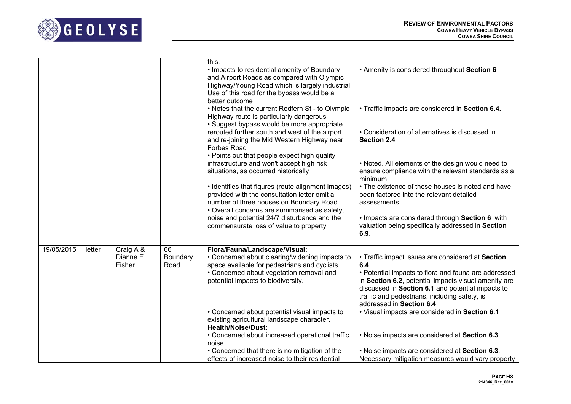

|            |        |                       |                | this.                                                                                        |                                                                                                         |
|------------|--------|-----------------------|----------------|----------------------------------------------------------------------------------------------|---------------------------------------------------------------------------------------------------------|
|            |        |                       |                | • Impacts to residential amenity of Boundary<br>and Airport Roads as compared with Olympic   | • Amenity is considered throughout Section 6                                                            |
|            |        |                       |                | Highway/Young Road which is largely industrial.                                              |                                                                                                         |
|            |        |                       |                | Use of this road for the bypass would be a                                                   |                                                                                                         |
|            |        |                       |                | better outcome                                                                               |                                                                                                         |
|            |        |                       |                | • Notes that the current Redfern St - to Olympic                                             | • Traffic impacts are considered in Section 6.4.                                                        |
|            |        |                       |                | Highway route is particularly dangerous                                                      |                                                                                                         |
|            |        |                       |                | • Suggest bypass would be more appropriate<br>rerouted further south and west of the airport | • Consideration of alternatives is discussed in                                                         |
|            |        |                       |                | and re-joining the Mid Western Highway near                                                  | Section 2.4                                                                                             |
|            |        |                       |                | Forbes Road                                                                                  |                                                                                                         |
|            |        |                       |                | • Points out that people expect high quality                                                 |                                                                                                         |
|            |        |                       |                | infrastructure and won't accept high risk<br>situations, as occurred historically            | . Noted. All elements of the design would need to<br>ensure compliance with the relevant standards as a |
|            |        |                       |                |                                                                                              | minimum                                                                                                 |
|            |        |                       |                | • Identifies that figures (route alignment images)                                           | • The existence of these houses is noted and have                                                       |
|            |        |                       |                | provided with the consultation letter omit a                                                 | been factored into the relevant detailed                                                                |
|            |        |                       |                | number of three houses on Boundary Road                                                      | assessments                                                                                             |
|            |        |                       |                | • Overall concerns are summarised as safety,<br>noise and potential 24/7 disturbance and the | . Impacts are considered through Section 6 with                                                         |
|            |        |                       |                | commensurate loss of value to property                                                       | valuation being specifically addressed in Section                                                       |
|            |        |                       |                |                                                                                              | 6.9.                                                                                                    |
|            |        |                       |                |                                                                                              |                                                                                                         |
| 19/05/2015 | letter | Craig A &<br>Dianne E | 66<br>Boundary | Flora/Fauna/Landscape/Visual:<br>• Concerned about clearing/widening impacts to              | • Traffic impact issues are considered at Section                                                       |
|            |        | Fisher                | Road           | space available for pedestrians and cyclists.                                                | 6.4                                                                                                     |
|            |        |                       |                | • Concerned about vegetation removal and                                                     | • Potential impacts to flora and fauna are addressed                                                    |
|            |        |                       |                | potential impacts to biodiversity.                                                           | in Section 6.2, potential impacts visual amenity are                                                    |
|            |        |                       |                |                                                                                              | discussed in Section 6.1 and potential impacts to<br>traffic and pedestrians, including safety, is      |
|            |        |                       |                |                                                                                              | addressed in Section 6.4                                                                                |
|            |        |                       |                | • Concerned about potential visual impacts to                                                | • Visual impacts are considered in Section 6.1                                                          |
|            |        |                       |                | existing agricultural landscape character.                                                   |                                                                                                         |
|            |        |                       |                | <b>Health/Noise/Dust:</b>                                                                    |                                                                                                         |
|            |        |                       |                | • Concerned about increased operational traffic<br>noise.                                    | . Noise impacts are considered at Section 6.3                                                           |
|            |        |                       |                | • Concerned that there is no mitigation of the                                               | . Noise impacts are considered at Section 6.3.                                                          |
|            |        |                       |                | effects of increased noise to their residential                                              | Necessary mitigation measures would vary property                                                       |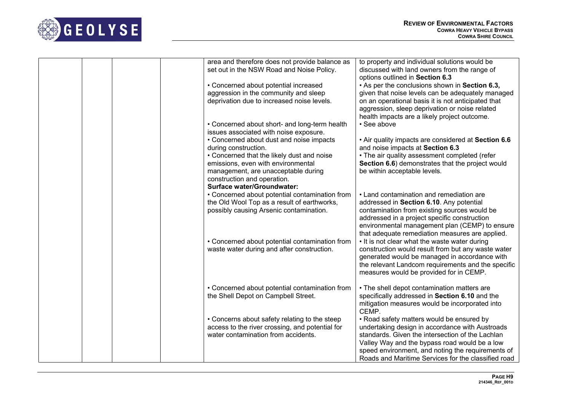

| area and therefore does not provide balance as<br>to property and individual solutions would be<br>set out in the NSW Road and Noise Policy.<br>discussed with land owners from the range of<br>options outlined in Section 6.3<br>• Concerned about potential increased<br>• As per the conclusions shown in Section 6.3,<br>aggression in the community and sleep<br>given that noise levels can be adequately managed<br>deprivation due to increased noise levels.<br>on an operational basis it is not anticipated that<br>aggression, sleep deprivation or noise related<br>health impacts are a likely project outcome.<br>· See above<br>• Concerned about short- and long-term health<br>issues associated with noise exposure.<br>• Concerned about dust and noise impacts<br>. Air quality impacts are considered at Section 6.6<br>and noise impacts at Section 6.3<br>during construction.<br>• Concerned that the likely dust and noise<br>• The air quality assessment completed (refer<br>emissions, even with environmental<br>Section 6.6) demonstrates that the project would<br>management, are unacceptable during<br>be within acceptable levels.<br>construction and operation.<br><b>Surface water/Groundwater:</b><br>• Land contamination and remediation are<br>• Concerned about potential contamination from<br>the Old Wool Top as a result of earthworks,<br>addressed in Section 6.10. Any potential<br>possibly causing Arsenic contamination.<br>contamination from existing sources would be<br>addressed in a project specific construction<br>environmental management plan (CEMP) to ensure<br>that adequate remediation measures are applied.<br>• It is not clear what the waste water during<br>• Concerned about potential contamination from<br>waste water during and after construction.<br>construction would result from but any waste water<br>generated would be managed in accordance with<br>the relevant Landcom requirements and the specific<br>measures would be provided for in CEMP.<br>• Concerned about potential contamination from<br>• The shell depot contamination matters are<br>the Shell Depot on Campbell Street.<br>specifically addressed in Section 6.10 and the<br>mitigation measures would be incorporated into<br>CEMP.<br>• Concerns about safety relating to the steep<br>• Road safety matters would be ensured by<br>access to the river crossing, and potential for<br>undertaking design in accordance with Austroads<br>water contamination from accidents.<br>standards. Given the intersection of the Lachlan<br>Valley Way and the bypass road would be a low<br>speed environment, and noting the requirements of<br>Roads and Maritime Services for the classified road |  |  |
|----------------------------------------------------------------------------------------------------------------------------------------------------------------------------------------------------------------------------------------------------------------------------------------------------------------------------------------------------------------------------------------------------------------------------------------------------------------------------------------------------------------------------------------------------------------------------------------------------------------------------------------------------------------------------------------------------------------------------------------------------------------------------------------------------------------------------------------------------------------------------------------------------------------------------------------------------------------------------------------------------------------------------------------------------------------------------------------------------------------------------------------------------------------------------------------------------------------------------------------------------------------------------------------------------------------------------------------------------------------------------------------------------------------------------------------------------------------------------------------------------------------------------------------------------------------------------------------------------------------------------------------------------------------------------------------------------------------------------------------------------------------------------------------------------------------------------------------------------------------------------------------------------------------------------------------------------------------------------------------------------------------------------------------------------------------------------------------------------------------------------------------------------------------------------------------------------------------------------------------------------------------------------------------------------------------------------------------------------------------------------------------------------------------------------------------------------------------------------------------------------------------------------------------------------------------------------------------------------------------------------------------------------------------------------------------------------------------------------------------------------------------|--|--|
|                                                                                                                                                                                                                                                                                                                                                                                                                                                                                                                                                                                                                                                                                                                                                                                                                                                                                                                                                                                                                                                                                                                                                                                                                                                                                                                                                                                                                                                                                                                                                                                                                                                                                                                                                                                                                                                                                                                                                                                                                                                                                                                                                                                                                                                                                                                                                                                                                                                                                                                                                                                                                                                                                                                                                                |  |  |
|                                                                                                                                                                                                                                                                                                                                                                                                                                                                                                                                                                                                                                                                                                                                                                                                                                                                                                                                                                                                                                                                                                                                                                                                                                                                                                                                                                                                                                                                                                                                                                                                                                                                                                                                                                                                                                                                                                                                                                                                                                                                                                                                                                                                                                                                                                                                                                                                                                                                                                                                                                                                                                                                                                                                                                |  |  |
|                                                                                                                                                                                                                                                                                                                                                                                                                                                                                                                                                                                                                                                                                                                                                                                                                                                                                                                                                                                                                                                                                                                                                                                                                                                                                                                                                                                                                                                                                                                                                                                                                                                                                                                                                                                                                                                                                                                                                                                                                                                                                                                                                                                                                                                                                                                                                                                                                                                                                                                                                                                                                                                                                                                                                                |  |  |
|                                                                                                                                                                                                                                                                                                                                                                                                                                                                                                                                                                                                                                                                                                                                                                                                                                                                                                                                                                                                                                                                                                                                                                                                                                                                                                                                                                                                                                                                                                                                                                                                                                                                                                                                                                                                                                                                                                                                                                                                                                                                                                                                                                                                                                                                                                                                                                                                                                                                                                                                                                                                                                                                                                                                                                |  |  |
|                                                                                                                                                                                                                                                                                                                                                                                                                                                                                                                                                                                                                                                                                                                                                                                                                                                                                                                                                                                                                                                                                                                                                                                                                                                                                                                                                                                                                                                                                                                                                                                                                                                                                                                                                                                                                                                                                                                                                                                                                                                                                                                                                                                                                                                                                                                                                                                                                                                                                                                                                                                                                                                                                                                                                                |  |  |
|                                                                                                                                                                                                                                                                                                                                                                                                                                                                                                                                                                                                                                                                                                                                                                                                                                                                                                                                                                                                                                                                                                                                                                                                                                                                                                                                                                                                                                                                                                                                                                                                                                                                                                                                                                                                                                                                                                                                                                                                                                                                                                                                                                                                                                                                                                                                                                                                                                                                                                                                                                                                                                                                                                                                                                |  |  |
|                                                                                                                                                                                                                                                                                                                                                                                                                                                                                                                                                                                                                                                                                                                                                                                                                                                                                                                                                                                                                                                                                                                                                                                                                                                                                                                                                                                                                                                                                                                                                                                                                                                                                                                                                                                                                                                                                                                                                                                                                                                                                                                                                                                                                                                                                                                                                                                                                                                                                                                                                                                                                                                                                                                                                                |  |  |
|                                                                                                                                                                                                                                                                                                                                                                                                                                                                                                                                                                                                                                                                                                                                                                                                                                                                                                                                                                                                                                                                                                                                                                                                                                                                                                                                                                                                                                                                                                                                                                                                                                                                                                                                                                                                                                                                                                                                                                                                                                                                                                                                                                                                                                                                                                                                                                                                                                                                                                                                                                                                                                                                                                                                                                |  |  |
|                                                                                                                                                                                                                                                                                                                                                                                                                                                                                                                                                                                                                                                                                                                                                                                                                                                                                                                                                                                                                                                                                                                                                                                                                                                                                                                                                                                                                                                                                                                                                                                                                                                                                                                                                                                                                                                                                                                                                                                                                                                                                                                                                                                                                                                                                                                                                                                                                                                                                                                                                                                                                                                                                                                                                                |  |  |
|                                                                                                                                                                                                                                                                                                                                                                                                                                                                                                                                                                                                                                                                                                                                                                                                                                                                                                                                                                                                                                                                                                                                                                                                                                                                                                                                                                                                                                                                                                                                                                                                                                                                                                                                                                                                                                                                                                                                                                                                                                                                                                                                                                                                                                                                                                                                                                                                                                                                                                                                                                                                                                                                                                                                                                |  |  |
|                                                                                                                                                                                                                                                                                                                                                                                                                                                                                                                                                                                                                                                                                                                                                                                                                                                                                                                                                                                                                                                                                                                                                                                                                                                                                                                                                                                                                                                                                                                                                                                                                                                                                                                                                                                                                                                                                                                                                                                                                                                                                                                                                                                                                                                                                                                                                                                                                                                                                                                                                                                                                                                                                                                                                                |  |  |
|                                                                                                                                                                                                                                                                                                                                                                                                                                                                                                                                                                                                                                                                                                                                                                                                                                                                                                                                                                                                                                                                                                                                                                                                                                                                                                                                                                                                                                                                                                                                                                                                                                                                                                                                                                                                                                                                                                                                                                                                                                                                                                                                                                                                                                                                                                                                                                                                                                                                                                                                                                                                                                                                                                                                                                |  |  |
|                                                                                                                                                                                                                                                                                                                                                                                                                                                                                                                                                                                                                                                                                                                                                                                                                                                                                                                                                                                                                                                                                                                                                                                                                                                                                                                                                                                                                                                                                                                                                                                                                                                                                                                                                                                                                                                                                                                                                                                                                                                                                                                                                                                                                                                                                                                                                                                                                                                                                                                                                                                                                                                                                                                                                                |  |  |
|                                                                                                                                                                                                                                                                                                                                                                                                                                                                                                                                                                                                                                                                                                                                                                                                                                                                                                                                                                                                                                                                                                                                                                                                                                                                                                                                                                                                                                                                                                                                                                                                                                                                                                                                                                                                                                                                                                                                                                                                                                                                                                                                                                                                                                                                                                                                                                                                                                                                                                                                                                                                                                                                                                                                                                |  |  |
|                                                                                                                                                                                                                                                                                                                                                                                                                                                                                                                                                                                                                                                                                                                                                                                                                                                                                                                                                                                                                                                                                                                                                                                                                                                                                                                                                                                                                                                                                                                                                                                                                                                                                                                                                                                                                                                                                                                                                                                                                                                                                                                                                                                                                                                                                                                                                                                                                                                                                                                                                                                                                                                                                                                                                                |  |  |
|                                                                                                                                                                                                                                                                                                                                                                                                                                                                                                                                                                                                                                                                                                                                                                                                                                                                                                                                                                                                                                                                                                                                                                                                                                                                                                                                                                                                                                                                                                                                                                                                                                                                                                                                                                                                                                                                                                                                                                                                                                                                                                                                                                                                                                                                                                                                                                                                                                                                                                                                                                                                                                                                                                                                                                |  |  |
|                                                                                                                                                                                                                                                                                                                                                                                                                                                                                                                                                                                                                                                                                                                                                                                                                                                                                                                                                                                                                                                                                                                                                                                                                                                                                                                                                                                                                                                                                                                                                                                                                                                                                                                                                                                                                                                                                                                                                                                                                                                                                                                                                                                                                                                                                                                                                                                                                                                                                                                                                                                                                                                                                                                                                                |  |  |
|                                                                                                                                                                                                                                                                                                                                                                                                                                                                                                                                                                                                                                                                                                                                                                                                                                                                                                                                                                                                                                                                                                                                                                                                                                                                                                                                                                                                                                                                                                                                                                                                                                                                                                                                                                                                                                                                                                                                                                                                                                                                                                                                                                                                                                                                                                                                                                                                                                                                                                                                                                                                                                                                                                                                                                |  |  |
|                                                                                                                                                                                                                                                                                                                                                                                                                                                                                                                                                                                                                                                                                                                                                                                                                                                                                                                                                                                                                                                                                                                                                                                                                                                                                                                                                                                                                                                                                                                                                                                                                                                                                                                                                                                                                                                                                                                                                                                                                                                                                                                                                                                                                                                                                                                                                                                                                                                                                                                                                                                                                                                                                                                                                                |  |  |
|                                                                                                                                                                                                                                                                                                                                                                                                                                                                                                                                                                                                                                                                                                                                                                                                                                                                                                                                                                                                                                                                                                                                                                                                                                                                                                                                                                                                                                                                                                                                                                                                                                                                                                                                                                                                                                                                                                                                                                                                                                                                                                                                                                                                                                                                                                                                                                                                                                                                                                                                                                                                                                                                                                                                                                |  |  |
|                                                                                                                                                                                                                                                                                                                                                                                                                                                                                                                                                                                                                                                                                                                                                                                                                                                                                                                                                                                                                                                                                                                                                                                                                                                                                                                                                                                                                                                                                                                                                                                                                                                                                                                                                                                                                                                                                                                                                                                                                                                                                                                                                                                                                                                                                                                                                                                                                                                                                                                                                                                                                                                                                                                                                                |  |  |
|                                                                                                                                                                                                                                                                                                                                                                                                                                                                                                                                                                                                                                                                                                                                                                                                                                                                                                                                                                                                                                                                                                                                                                                                                                                                                                                                                                                                                                                                                                                                                                                                                                                                                                                                                                                                                                                                                                                                                                                                                                                                                                                                                                                                                                                                                                                                                                                                                                                                                                                                                                                                                                                                                                                                                                |  |  |
|                                                                                                                                                                                                                                                                                                                                                                                                                                                                                                                                                                                                                                                                                                                                                                                                                                                                                                                                                                                                                                                                                                                                                                                                                                                                                                                                                                                                                                                                                                                                                                                                                                                                                                                                                                                                                                                                                                                                                                                                                                                                                                                                                                                                                                                                                                                                                                                                                                                                                                                                                                                                                                                                                                                                                                |  |  |
|                                                                                                                                                                                                                                                                                                                                                                                                                                                                                                                                                                                                                                                                                                                                                                                                                                                                                                                                                                                                                                                                                                                                                                                                                                                                                                                                                                                                                                                                                                                                                                                                                                                                                                                                                                                                                                                                                                                                                                                                                                                                                                                                                                                                                                                                                                                                                                                                                                                                                                                                                                                                                                                                                                                                                                |  |  |
|                                                                                                                                                                                                                                                                                                                                                                                                                                                                                                                                                                                                                                                                                                                                                                                                                                                                                                                                                                                                                                                                                                                                                                                                                                                                                                                                                                                                                                                                                                                                                                                                                                                                                                                                                                                                                                                                                                                                                                                                                                                                                                                                                                                                                                                                                                                                                                                                                                                                                                                                                                                                                                                                                                                                                                |  |  |
|                                                                                                                                                                                                                                                                                                                                                                                                                                                                                                                                                                                                                                                                                                                                                                                                                                                                                                                                                                                                                                                                                                                                                                                                                                                                                                                                                                                                                                                                                                                                                                                                                                                                                                                                                                                                                                                                                                                                                                                                                                                                                                                                                                                                                                                                                                                                                                                                                                                                                                                                                                                                                                                                                                                                                                |  |  |
|                                                                                                                                                                                                                                                                                                                                                                                                                                                                                                                                                                                                                                                                                                                                                                                                                                                                                                                                                                                                                                                                                                                                                                                                                                                                                                                                                                                                                                                                                                                                                                                                                                                                                                                                                                                                                                                                                                                                                                                                                                                                                                                                                                                                                                                                                                                                                                                                                                                                                                                                                                                                                                                                                                                                                                |  |  |
|                                                                                                                                                                                                                                                                                                                                                                                                                                                                                                                                                                                                                                                                                                                                                                                                                                                                                                                                                                                                                                                                                                                                                                                                                                                                                                                                                                                                                                                                                                                                                                                                                                                                                                                                                                                                                                                                                                                                                                                                                                                                                                                                                                                                                                                                                                                                                                                                                                                                                                                                                                                                                                                                                                                                                                |  |  |
|                                                                                                                                                                                                                                                                                                                                                                                                                                                                                                                                                                                                                                                                                                                                                                                                                                                                                                                                                                                                                                                                                                                                                                                                                                                                                                                                                                                                                                                                                                                                                                                                                                                                                                                                                                                                                                                                                                                                                                                                                                                                                                                                                                                                                                                                                                                                                                                                                                                                                                                                                                                                                                                                                                                                                                |  |  |
|                                                                                                                                                                                                                                                                                                                                                                                                                                                                                                                                                                                                                                                                                                                                                                                                                                                                                                                                                                                                                                                                                                                                                                                                                                                                                                                                                                                                                                                                                                                                                                                                                                                                                                                                                                                                                                                                                                                                                                                                                                                                                                                                                                                                                                                                                                                                                                                                                                                                                                                                                                                                                                                                                                                                                                |  |  |
|                                                                                                                                                                                                                                                                                                                                                                                                                                                                                                                                                                                                                                                                                                                                                                                                                                                                                                                                                                                                                                                                                                                                                                                                                                                                                                                                                                                                                                                                                                                                                                                                                                                                                                                                                                                                                                                                                                                                                                                                                                                                                                                                                                                                                                                                                                                                                                                                                                                                                                                                                                                                                                                                                                                                                                |  |  |
|                                                                                                                                                                                                                                                                                                                                                                                                                                                                                                                                                                                                                                                                                                                                                                                                                                                                                                                                                                                                                                                                                                                                                                                                                                                                                                                                                                                                                                                                                                                                                                                                                                                                                                                                                                                                                                                                                                                                                                                                                                                                                                                                                                                                                                                                                                                                                                                                                                                                                                                                                                                                                                                                                                                                                                |  |  |
|                                                                                                                                                                                                                                                                                                                                                                                                                                                                                                                                                                                                                                                                                                                                                                                                                                                                                                                                                                                                                                                                                                                                                                                                                                                                                                                                                                                                                                                                                                                                                                                                                                                                                                                                                                                                                                                                                                                                                                                                                                                                                                                                                                                                                                                                                                                                                                                                                                                                                                                                                                                                                                                                                                                                                                |  |  |
|                                                                                                                                                                                                                                                                                                                                                                                                                                                                                                                                                                                                                                                                                                                                                                                                                                                                                                                                                                                                                                                                                                                                                                                                                                                                                                                                                                                                                                                                                                                                                                                                                                                                                                                                                                                                                                                                                                                                                                                                                                                                                                                                                                                                                                                                                                                                                                                                                                                                                                                                                                                                                                                                                                                                                                |  |  |
|                                                                                                                                                                                                                                                                                                                                                                                                                                                                                                                                                                                                                                                                                                                                                                                                                                                                                                                                                                                                                                                                                                                                                                                                                                                                                                                                                                                                                                                                                                                                                                                                                                                                                                                                                                                                                                                                                                                                                                                                                                                                                                                                                                                                                                                                                                                                                                                                                                                                                                                                                                                                                                                                                                                                                                |  |  |
|                                                                                                                                                                                                                                                                                                                                                                                                                                                                                                                                                                                                                                                                                                                                                                                                                                                                                                                                                                                                                                                                                                                                                                                                                                                                                                                                                                                                                                                                                                                                                                                                                                                                                                                                                                                                                                                                                                                                                                                                                                                                                                                                                                                                                                                                                                                                                                                                                                                                                                                                                                                                                                                                                                                                                                |  |  |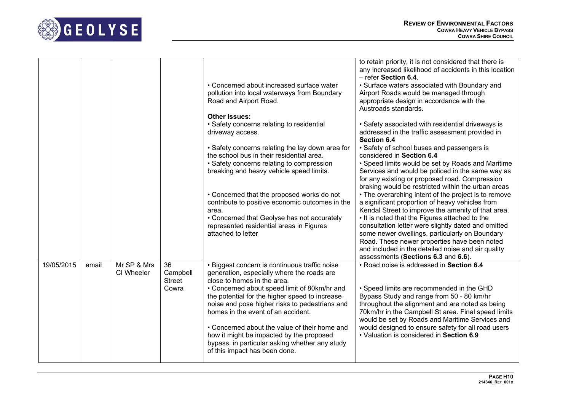

|            |       |                           |                                          | • Concerned about increased surface water<br>pollution into local waterways from Boundary<br>Road and Airport Road.<br><b>Other Issues:</b>                                                                                                                                                                                                                                                                                                                                                          | to retain priority, it is not considered that there is<br>any increased likelihood of accidents in this location<br>- refer Section 6.4.<br>• Surface waters associated with Boundary and<br>Airport Roads would be managed through<br>appropriate design in accordance with the<br>Austroads standards.                                                                                                                                                              |
|------------|-------|---------------------------|------------------------------------------|------------------------------------------------------------------------------------------------------------------------------------------------------------------------------------------------------------------------------------------------------------------------------------------------------------------------------------------------------------------------------------------------------------------------------------------------------------------------------------------------------|-----------------------------------------------------------------------------------------------------------------------------------------------------------------------------------------------------------------------------------------------------------------------------------------------------------------------------------------------------------------------------------------------------------------------------------------------------------------------|
|            |       |                           |                                          | • Safety concerns relating to residential<br>driveway access.                                                                                                                                                                                                                                                                                                                                                                                                                                        | • Safety associated with residential driveways is<br>addressed in the traffic assessment provided in<br>Section 6.4                                                                                                                                                                                                                                                                                                                                                   |
|            |       |                           |                                          | • Safety concerns relating the lay down area for<br>the school bus in their residential area.<br>• Safety concerns relating to compression<br>breaking and heavy vehicle speed limits.                                                                                                                                                                                                                                                                                                               | • Safety of school buses and passengers is<br>considered in Section 6.4<br>• Speed limits would be set by Roads and Maritime<br>Services and would be policed in the same way as<br>for any existing or proposed road. Compression<br>braking would be restricted within the urban areas                                                                                                                                                                              |
|            |       |                           |                                          | • Concerned that the proposed works do not<br>contribute to positive economic outcomes in the<br>area.<br>• Concerned that Geolyse has not accurately<br>represented residential areas in Figures<br>attached to letter                                                                                                                                                                                                                                                                              | • The overarching intent of the project is to remove<br>a significant proportion of heavy vehicles from<br>Kendal Street to improve the amenity of that area.<br>• It is noted that the Figures attached to the<br>consultation letter were slightly dated and omitted<br>some newer dwellings, particularly on Boundary<br>Road. These newer properties have been noted<br>and included in the detailed noise and air quality<br>assessments (Sections 6.3 and 6.6). |
| 19/05/2015 | email | Mr SP & Mrs<br>CI Wheeler | 36<br>Campbell<br><b>Street</b><br>Cowra | • Biggest concern is continuous traffic noise<br>generation, especially where the roads are<br>close to homes in the area.<br>• Concerned about speed limit of 80km/hr and<br>the potential for the higher speed to increase<br>noise and pose higher risks to pedestrians and<br>homes in the event of an accident.<br>• Concerned about the value of their home and<br>how it might be impacted by the proposed<br>bypass, in particular asking whether any study<br>of this impact has been done. | • Road noise is addressed in Section 6.4<br>• Speed limits are recommended in the GHD<br>Bypass Study and range from 50 - 80 km/hr<br>throughout the alignment and are noted as being<br>70km/hr in the Campbell St area. Final speed limits<br>would be set by Roads and Maritime Services and<br>would designed to ensure safety for all road users<br>• Valuation is considered in Section 6.9                                                                     |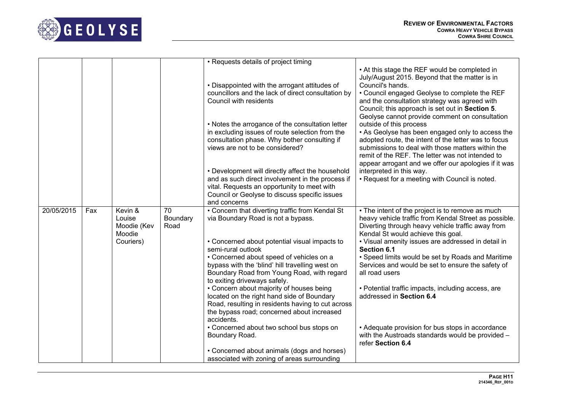

|            |     |                                            |                        | • Requests details of project timing                                                                                                                                                                                 |                                                                                                                                                                                                                                                                                                                            |
|------------|-----|--------------------------------------------|------------------------|----------------------------------------------------------------------------------------------------------------------------------------------------------------------------------------------------------------------|----------------------------------------------------------------------------------------------------------------------------------------------------------------------------------------------------------------------------------------------------------------------------------------------------------------------------|
|            |     |                                            |                        | • Disappointed with the arrogant attitudes of<br>councillors and the lack of direct consultation by<br>Council with residents                                                                                        | • At this stage the REF would be completed in<br>July/August 2015. Beyond that the matter is in<br>Council's hands.<br>• Council engaged Geolyse to complete the REF<br>and the consultation strategy was agreed with<br>Council; this approach is set out in Section 5.<br>Geolyse cannot provide comment on consultation |
|            |     |                                            |                        | • Notes the arrogance of the consultation letter<br>in excluding issues of route selection from the<br>consultation phase. Why bother consulting if<br>views are not to be considered?                               | outside of this process<br>• As Geolyse has been engaged only to access the<br>adopted route, the intent of the letter was to focus<br>submissions to deal with those matters within the<br>remit of the REF. The letter was not intended to<br>appear arrogant and we offer our apologies if it was                       |
|            |     |                                            |                        | • Development will directly affect the household<br>and as such direct involvement in the process if<br>vital. Requests an opportunity to meet with<br>Council or Geolyse to discuss specific issues<br>and concerns | interpreted in this way.<br>• Request for a meeting with Council is noted.                                                                                                                                                                                                                                                 |
| 20/05/2015 | Fax | Kevin &<br>Louise<br>Moodie (Kev<br>Moodie | 70<br>Boundary<br>Road | • Concern that diverting traffic from Kendal St<br>via Boundary Road is not a bypass.                                                                                                                                | • The intent of the project is to remove as much<br>heavy vehicle traffic from Kendal Street as possible.<br>Diverting through heavy vehicle traffic away from<br>Kendal St would achieve this goal.                                                                                                                       |
|            |     | Couriers)                                  |                        | • Concerned about potential visual impacts to<br>semi-rural outlook                                                                                                                                                  | • Visual amenity issues are addressed in detail in<br>Section 6.1                                                                                                                                                                                                                                                          |
|            |     |                                            |                        | • Concerned about speed of vehicles on a<br>bypass with the 'blind' hill travelling west on<br>Boundary Road from Young Road, with regard<br>to exiting driveways safely.                                            | • Speed limits would be set by Roads and Maritime<br>Services and would be set to ensure the safety of<br>all road users                                                                                                                                                                                                   |
|            |     |                                            |                        | • Concern about majority of houses being<br>located on the right hand side of Boundary<br>Road, resulting in residents having to cut across<br>the bypass road; concerned about increased<br>accidents.              | • Potential traffic impacts, including access, are<br>addressed in Section 6.4                                                                                                                                                                                                                                             |
|            |     |                                            |                        | • Concerned about two school bus stops on<br>Boundary Road.                                                                                                                                                          | • Adequate provision for bus stops in accordance<br>with the Austroads standards would be provided -<br>refer Section 6.4                                                                                                                                                                                                  |
|            |     |                                            |                        | • Concerned about animals (dogs and horses)<br>associated with zoning of areas surrounding                                                                                                                           |                                                                                                                                                                                                                                                                                                                            |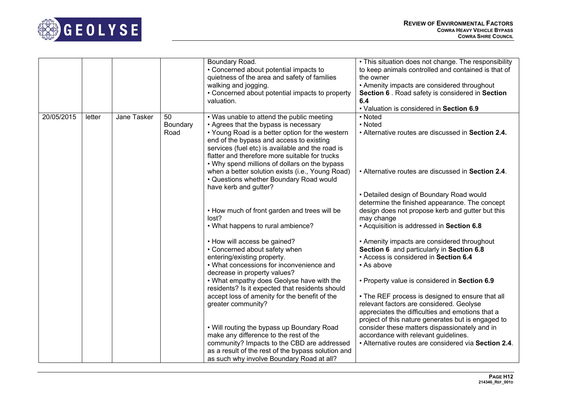

|            |        |             |                        | Boundary Road.<br>• Concerned about potential impacts to<br>quietness of the area and safety of families<br>walking and jogging.<br>• Concerned about potential impacts to property<br>valuation.                                                                                                                                        | . This situation does not change. The responsibility<br>to keep animals controlled and contained is that of<br>the owner<br>• Amenity impacts are considered throughout<br>Section 6 . Road safety is considered in Section<br>6.4<br>• Valuation is considered in Section 6.9 |
|------------|--------|-------------|------------------------|------------------------------------------------------------------------------------------------------------------------------------------------------------------------------------------------------------------------------------------------------------------------------------------------------------------------------------------|--------------------------------------------------------------------------------------------------------------------------------------------------------------------------------------------------------------------------------------------------------------------------------|
| 20/05/2015 | letter | Jane Tasker | 50<br>Boundary<br>Road | • Was unable to attend the public meeting<br>• Agrees that the bypass is necessary<br>• Young Road is a better option for the western<br>end of the bypass and access to existing<br>services (fuel etc) is available and the road is<br>flatter and therefore more suitable for trucks<br>• Why spend millions of dollars on the bypass | • Noted<br>• Noted<br>• Alternative routes are discussed in Section 2.4.                                                                                                                                                                                                       |
|            |        |             |                        | when a better solution exists (i.e., Young Road)<br>• Questions whether Boundary Road would<br>have kerb and gutter?                                                                                                                                                                                                                     | • Alternative routes are discussed in Section 2.4.                                                                                                                                                                                                                             |
|            |        |             |                        | • How much of front garden and trees will be<br>lost?<br>• What happens to rural ambience?                                                                                                                                                                                                                                               | • Detailed design of Boundary Road would<br>determine the finished appearance. The concept<br>design does not propose kerb and gutter but this<br>may change<br>• Acquisition is addressed in Section 6.8                                                                      |
|            |        |             |                        | • How will access be gained?<br>• Concerned about safety when<br>entering/existing property.<br>• What concessions for inconvenience and<br>decrease in property values?                                                                                                                                                                 | • Amenity impacts are considered throughout<br>Section 6 and particularly in Section 6.8<br>• Access is considered in Section 6.4<br>• As above                                                                                                                                |
|            |        |             |                        | . What empathy does Geolyse have with the<br>residents? Is it expected that residents should                                                                                                                                                                                                                                             | • Property value is considered in Section 6.9                                                                                                                                                                                                                                  |
|            |        |             |                        | accept loss of amenity for the benefit of the<br>greater community?                                                                                                                                                                                                                                                                      | • The REF process is designed to ensure that all<br>relevant factors are considered. Geolyse<br>appreciates the difficulties and emotions that a<br>project of this nature generates but is engaged to                                                                         |
|            |        |             |                        | . Will routing the bypass up Boundary Road<br>make any difference to the rest of the<br>community? Impacts to the CBD are addressed<br>as a result of the rest of the bypass solution and<br>as such why involve Boundary Road at all?                                                                                                   | consider these matters dispassionately and in<br>accordance with relevant guidelines.<br>• Alternative routes are considered via Section 2.4.                                                                                                                                  |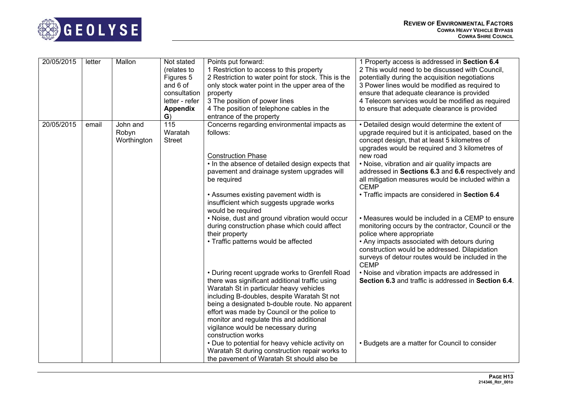

| 20/05/2015 | letter | Mallon                           | Not stated                      | Points put forward:                                                                                                                                                                                                                                                                                                                                                                                  | 1 Property access is addressed in Section 6.4                                                                                                                                                                                                                            |
|------------|--------|----------------------------------|---------------------------------|------------------------------------------------------------------------------------------------------------------------------------------------------------------------------------------------------------------------------------------------------------------------------------------------------------------------------------------------------------------------------------------------------|--------------------------------------------------------------------------------------------------------------------------------------------------------------------------------------------------------------------------------------------------------------------------|
|            |        |                                  | (relates to                     | 1 Restriction to access to this property                                                                                                                                                                                                                                                                                                                                                             | 2 This would need to be discussed with Council,                                                                                                                                                                                                                          |
|            |        |                                  | Figures 5                       | 2 Restriction to water point for stock. This is the                                                                                                                                                                                                                                                                                                                                                  | potentially during the acquisition negotiations                                                                                                                                                                                                                          |
|            |        |                                  | and 6 of                        | only stock water point in the upper area of the                                                                                                                                                                                                                                                                                                                                                      | 3 Power lines would be modified as required to                                                                                                                                                                                                                           |
|            |        |                                  | consultation                    | property                                                                                                                                                                                                                                                                                                                                                                                             | ensure that adequate clearance is provided                                                                                                                                                                                                                               |
|            |        |                                  | letter - refer                  | 3 The position of power lines                                                                                                                                                                                                                                                                                                                                                                        | 4 Telecom services would be modified as required                                                                                                                                                                                                                         |
|            |        |                                  | <b>Appendix</b>                 | 4 The position of telephone cables in the                                                                                                                                                                                                                                                                                                                                                            | to ensure that adequate clearance is provided                                                                                                                                                                                                                            |
|            |        |                                  | $\mathbf{G}$                    | entrance of the property                                                                                                                                                                                                                                                                                                                                                                             |                                                                                                                                                                                                                                                                          |
| 20/05/2015 | email  | John and<br>Robyn<br>Worthington | 115<br>Waratah<br><b>Street</b> | Concerns regarding environmental impacts as<br>follows:<br><b>Construction Phase</b><br>• In the absence of detailed design expects that                                                                                                                                                                                                                                                             | • Detailed design would determine the extent of<br>upgrade required but it is anticipated, based on the<br>concept design, that at least 5 kilometres of<br>upgrades would be required and 3 kilometres of<br>new road<br>• Noise, vibration and air quality impacts are |
|            |        |                                  |                                 | pavement and drainage system upgrades will<br>be required                                                                                                                                                                                                                                                                                                                                            | addressed in Sections 6.3 and 6.6 respectively and<br>all mitigation measures would be included within a<br><b>CEMP</b>                                                                                                                                                  |
|            |        |                                  |                                 | • Assumes existing pavement width is<br>insufficient which suggests upgrade works<br>would be required                                                                                                                                                                                                                                                                                               | • Traffic impacts are considered in Section 6.4                                                                                                                                                                                                                          |
|            |        |                                  |                                 | • Noise, dust and ground vibration would occur<br>during construction phase which could affect<br>their property                                                                                                                                                                                                                                                                                     | • Measures would be included in a CEMP to ensure<br>monitoring occurs by the contractor, Council or the<br>police where appropriate                                                                                                                                      |
|            |        |                                  |                                 | • Traffic patterns would be affected                                                                                                                                                                                                                                                                                                                                                                 | • Any impacts associated with detours during<br>construction would be addressed. Dilapidation<br>surveys of detour routes would be included in the<br><b>CEMP</b>                                                                                                        |
|            |        |                                  |                                 | • During recent upgrade works to Grenfell Road<br>there was significant additional traffic using<br>Waratah St in particular heavy vehicles<br>including B-doubles, despite Waratah St not<br>being a designated b-double route. No apparent<br>effort was made by Council or the police to<br>monitor and regulate this and additional<br>vigilance would be necessary during<br>construction works | • Noise and vibration impacts are addressed in<br>Section 6.3 and traffic is addressed in Section 6.4.                                                                                                                                                                   |
|            |        |                                  |                                 | • Due to potential for heavy vehicle activity on<br>Waratah St during construction repair works to<br>the pavement of Waratah St should also be                                                                                                                                                                                                                                                      | • Budgets are a matter for Council to consider                                                                                                                                                                                                                           |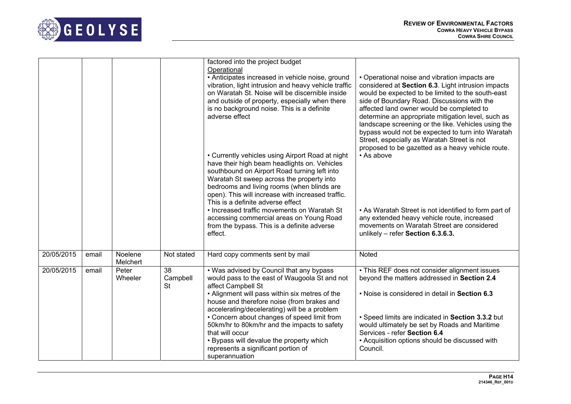

|            |       |                     |                             | factored into the project budget<br>Operational<br>• Anticipates increased in vehicle noise, ground<br>vibration, light intrusion and heavy vehicle traffic<br>on Waratah St. Noise will be discernible inside<br>and outside of property, especially when there<br>is no background noise. This is a definite<br>adverse effect<br>• Currently vehicles using Airport Road at night<br>have their high beam headlights on. Vehicles<br>southbound on Airport Road turning left into<br>Waratah St sweep across the property into<br>bedrooms and living rooms (when blinds are<br>open). This will increase with increased traffic.<br>This is a definite adverse effect<br>• Increased traffic movements on Waratah St<br>accessing commercial areas on Young Road<br>from the bypass. This is a definite adverse<br>effect. | • Operational noise and vibration impacts are<br>considered at Section 6.3. Light intrusion impacts<br>would be expected to be limited to the south-east<br>side of Boundary Road. Discussions with the<br>affected land owner would be completed to<br>determine an appropriate mitigation level, such as<br>landscape screening or the like. Vehicles using the<br>bypass would not be expected to turn into Waratah<br>Street, especially as Waratah Street is not<br>proposed to be gazetted as a heavy vehicle route.<br>• As above<br>• As Waratah Street is not identified to form part of<br>any extended heavy vehicle route, increased<br>movements on Waratah Street are considered<br>unlikely - refer Section 6.3.6.3. |
|------------|-------|---------------------|-----------------------------|--------------------------------------------------------------------------------------------------------------------------------------------------------------------------------------------------------------------------------------------------------------------------------------------------------------------------------------------------------------------------------------------------------------------------------------------------------------------------------------------------------------------------------------------------------------------------------------------------------------------------------------------------------------------------------------------------------------------------------------------------------------------------------------------------------------------------------|-------------------------------------------------------------------------------------------------------------------------------------------------------------------------------------------------------------------------------------------------------------------------------------------------------------------------------------------------------------------------------------------------------------------------------------------------------------------------------------------------------------------------------------------------------------------------------------------------------------------------------------------------------------------------------------------------------------------------------------|
|            |       |                     |                             |                                                                                                                                                                                                                                                                                                                                                                                                                                                                                                                                                                                                                                                                                                                                                                                                                                |                                                                                                                                                                                                                                                                                                                                                                                                                                                                                                                                                                                                                                                                                                                                     |
| 20/05/2015 | email | Noelene<br>Melchert | Not stated                  | Hard copy comments sent by mail                                                                                                                                                                                                                                                                                                                                                                                                                                                                                                                                                                                                                                                                                                                                                                                                | Noted                                                                                                                                                                                                                                                                                                                                                                                                                                                                                                                                                                                                                                                                                                                               |
| 20/05/2015 | email | Peter<br>Wheeler    | 38<br>Campbell<br><b>St</b> | . Was advised by Council that any bypass<br>would pass to the east of Waugoola St and not<br>affect Campbell St<br>• Alignment will pass within six metres of the<br>house and therefore noise (from brakes and<br>accelerating/decelerating) will be a problem<br>• Concern about changes of speed limit from<br>50km/hr to 80km/hr and the impacts to safety<br>that will occur<br>• Bypass will devalue the property which<br>represents a significant portion of<br>superannuation                                                                                                                                                                                                                                                                                                                                         | • This REF does not consider alignment issues<br>beyond the matters addressed in Section 2.4<br>. Noise is considered in detail in Section 6.3<br>· Speed limits are indicated in Section 3.3.2 but<br>would ultimately be set by Roads and Maritime<br>Services - refer Section 6.4<br>• Acquisition options should be discussed with<br>Council.                                                                                                                                                                                                                                                                                                                                                                                  |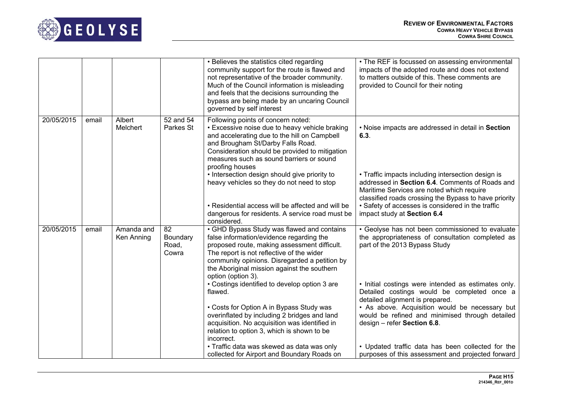

|            |       |                          |                                  | • Believes the statistics cited regarding<br>community support for the route is flawed and<br>not representative of the broader community.<br>Much of the Council information is misleading<br>and feels that the decisions surrounding the<br>bypass are being made by an uncaring Council<br>governed by self interest | • The REF is focussed on assessing environmental<br>impacts of the adopted route and does not extend<br>to matters outside of this. These comments are<br>provided to Council for their noting              |
|------------|-------|--------------------------|----------------------------------|--------------------------------------------------------------------------------------------------------------------------------------------------------------------------------------------------------------------------------------------------------------------------------------------------------------------------|-------------------------------------------------------------------------------------------------------------------------------------------------------------------------------------------------------------|
| 20/05/2015 | email | Albert<br>Melchert       | 52 and 54<br>Parkes St           | Following points of concern noted:<br>• Excessive noise due to heavy vehicle braking<br>and accelerating due to the hill on Campbell<br>and Brougham St/Darby Falls Road.<br>Consideration should be provided to mitigation<br>measures such as sound barriers or sound<br>proofing houses                               | . Noise impacts are addressed in detail in Section<br>6.3.                                                                                                                                                  |
|            |       |                          |                                  | • Intersection design should give priority to<br>heavy vehicles so they do not need to stop                                                                                                                                                                                                                              | • Traffic impacts including intersection design is<br>addressed in Section 6.4. Comments of Roads and<br>Maritime Services are noted which require<br>classified roads crossing the Bypass to have priority |
|            |       |                          |                                  | • Residential access will be affected and will be<br>dangerous for residents. A service road must be<br>considered.                                                                                                                                                                                                      | • Safety of accesses is considered in the traffic<br>impact study at Section 6.4                                                                                                                            |
| 20/05/2015 | email | Amanda and<br>Ken Anning | 82<br>Boundary<br>Road,<br>Cowra | • GHD Bypass Study was flawed and contains<br>false information/evidence regarding the<br>proposed route, making assessment difficult.<br>The report is not reflective of the wider<br>community opinions. Disregarded a petition by<br>the Aboriginal mission against the southern<br>option (option 3).                | · Geolyse has not been commissioned to evaluate<br>the appropriateness of consultation completed as<br>part of the 2013 Bypass Study                                                                        |
|            |       |                          |                                  | • Costings identified to develop option 3 are<br>flawed.                                                                                                                                                                                                                                                                 | . Initial costings were intended as estimates only.<br>Detailed costings would be completed once a<br>detailed alignment is prepared.                                                                       |
|            |       |                          |                                  | • Costs for Option A in Bypass Study was<br>overinflated by including 2 bridges and land<br>acquisition. No acquisition was identified in<br>relation to option 3, which is shown to be<br>incorrect.                                                                                                                    | • As above. Acquisition would be necessary but<br>would be refined and minimised through detailed<br>design - refer Section 6.8.                                                                            |
|            |       |                          |                                  | • Traffic data was skewed as data was only<br>collected for Airport and Boundary Roads on                                                                                                                                                                                                                                | • Updated traffic data has been collected for the<br>purposes of this assessment and projected forward                                                                                                      |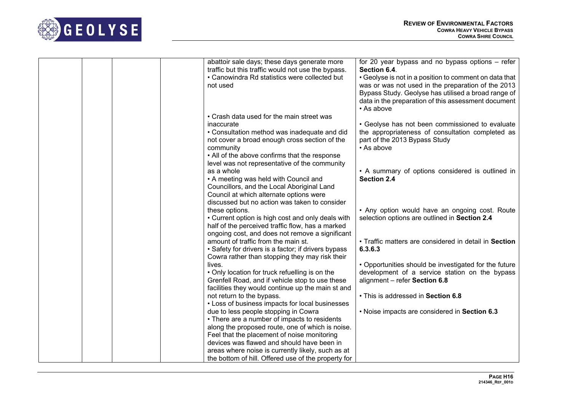

| abattoir sale days; these days generate more<br>traffic but this traffic would not use the bypass.<br>• Canowindra Rd statistics were collected but<br>not used                                                                                | for 20 year bypass and no bypass options – refer<br>Section 6.4.<br>• Geolyse is not in a position to comment on data that<br>was or was not used in the preparation of the 2013<br>Bypass Study. Geolyse has utilised a broad range of<br>data in the preparation of this assessment document<br>• As above |
|------------------------------------------------------------------------------------------------------------------------------------------------------------------------------------------------------------------------------------------------|--------------------------------------------------------------------------------------------------------------------------------------------------------------------------------------------------------------------------------------------------------------------------------------------------------------|
| • Crash data used for the main street was<br>inaccurate<br>• Consultation method was inadequate and did<br>not cover a broad enough cross section of the<br>community<br>• All of the above confirms that the response                         | • Geolyse has not been commissioned to evaluate<br>the appropriateness of consultation completed as<br>part of the 2013 Bypass Study<br>• As above                                                                                                                                                           |
| level was not representative of the community<br>as a whole<br>• A meeting was held with Council and<br>Councillors, and the Local Aboriginal Land<br>Council at which alternate options were<br>discussed but no action was taken to consider | • A summary of options considered is outlined in<br>Section 2.4                                                                                                                                                                                                                                              |
| these options.<br>• Current option is high cost and only deals with<br>half of the perceived traffic flow, has a marked<br>ongoing cost, and does not remove a significant                                                                     | • Any option would have an ongoing cost. Route<br>selection options are outlined in Section 2.4                                                                                                                                                                                                              |
| amount of traffic from the main st.<br>• Safety for drivers is a factor; if drivers bypass<br>Cowra rather than stopping they may risk their                                                                                                   | • Traffic matters are considered in detail in Section<br>6.3.6.3                                                                                                                                                                                                                                             |
| lives.<br>• Only location for truck refuelling is on the<br>Grenfell Road, and if vehicle stop to use these<br>facilities they would continue up the main st and                                                                               | • Opportunities should be investigated for the future<br>development of a service station on the bypass<br>alignment - refer Section 6.8                                                                                                                                                                     |
| not return to the bypass.<br>• Loss of business impacts for local businesses                                                                                                                                                                   | • This is addressed in Section 6.8                                                                                                                                                                                                                                                                           |
| due to less people stopping in Cowra<br>• There are a number of impacts to residents<br>along the proposed route, one of which is noise.                                                                                                       | . Noise impacts are considered in Section 6.3                                                                                                                                                                                                                                                                |
| Feel that the placement of noise monitoring<br>devices was flawed and should have been in<br>areas where noise is currently likely, such as at                                                                                                 |                                                                                                                                                                                                                                                                                                              |
| the bottom of hill. Offered use of the property for                                                                                                                                                                                            |                                                                                                                                                                                                                                                                                                              |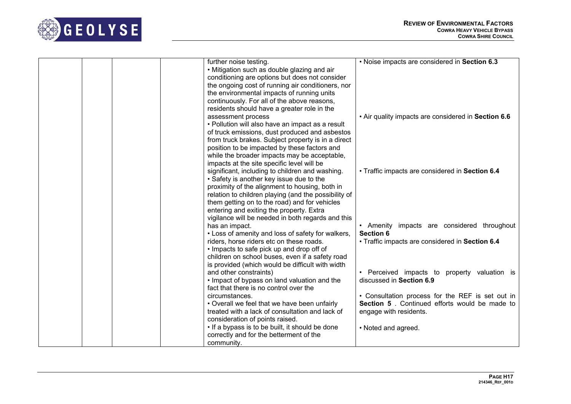

|  |  | further noise testing.                               | . Noise impacts are considered in Section 6.3       |
|--|--|------------------------------------------------------|-----------------------------------------------------|
|  |  | • Mitigation such as double glazing and air          |                                                     |
|  |  | conditioning are options but does not consider       |                                                     |
|  |  | the ongoing cost of running air conditioners, nor    |                                                     |
|  |  | the environmental impacts of running units           |                                                     |
|  |  | continuously. For all of the above reasons,          |                                                     |
|  |  | residents should have a greater role in the          |                                                     |
|  |  | assessment process                                   | . Air quality impacts are considered in Section 6.6 |
|  |  | • Pollution will also have an impact as a result     |                                                     |
|  |  | of truck emissions, dust produced and asbestos       |                                                     |
|  |  | from truck brakes. Subject property is in a direct   |                                                     |
|  |  | position to be impacted by these factors and         |                                                     |
|  |  | while the broader impacts may be acceptable,         |                                                     |
|  |  | impacts at the site specific level will be           |                                                     |
|  |  | significant, including to children and washing.      | • Traffic impacts are considered in Section 6.4     |
|  |  | • Safety is another key issue due to the             |                                                     |
|  |  | proximity of the alignment to housing, both in       |                                                     |
|  |  | relation to children playing (and the possibility of |                                                     |
|  |  | them getting on to the road) and for vehicles        |                                                     |
|  |  | entering and exiting the property. Extra             |                                                     |
|  |  | vigilance will be needed in both regards and this    |                                                     |
|  |  | has an impact.                                       | • Amenity impacts are considered throughout         |
|  |  | • Loss of amenity and loss of safety for walkers,    | <b>Section 6</b>                                    |
|  |  | riders, horse riders etc on these roads.             | · Traffic impacts are considered in Section 6.4     |
|  |  | • Impacts to safe pick up and drop off of            |                                                     |
|  |  | children on school buses, even if a safety road      |                                                     |
|  |  | is provided (which would be difficult with width     |                                                     |
|  |  | and other constraints)                               | • Perceived impacts to property valuation is        |
|  |  | . Impact of bypass on land valuation and the         | discussed in Section 6.9                            |
|  |  | fact that there is no control over the               |                                                     |
|  |  | circumstances.                                       | • Consultation process for the REF is set out in    |
|  |  | • Overall we feel that we have been unfairly         | Section 5. Continued efforts would be made to       |
|  |  | treated with a lack of consultation and lack of      | engage with residents.                              |
|  |  | consideration of points raised.                      |                                                     |
|  |  | • If a bypass is to be built, it should be done      | • Noted and agreed.                                 |
|  |  | correctly and for the betterment of the              |                                                     |
|  |  | community.                                           |                                                     |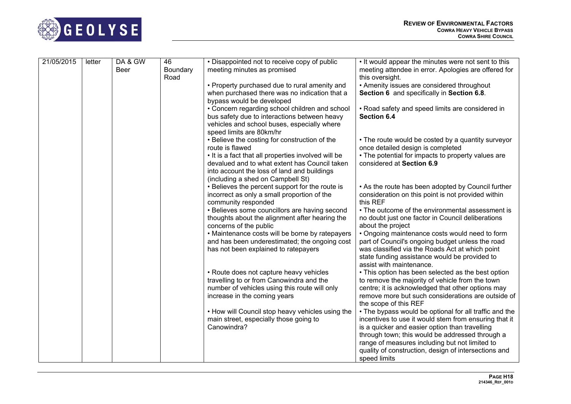

| 21/05/2015 | letter | DA & GW | 46               | • Disappointed not to receive copy of public                       | • It would appear the minutes were not sent to this                                                     |
|------------|--------|---------|------------------|--------------------------------------------------------------------|---------------------------------------------------------------------------------------------------------|
|            |        | Beer    | Boundary<br>Road | meeting minutes as promised                                        | meeting attendee in error. Apologies are offered for<br>this oversight.                                 |
|            |        |         |                  | • Property purchased due to rural amenity and                      | • Amenity issues are considered throughout                                                              |
|            |        |         |                  | when purchased there was no indication that a                      | Section 6 and specifically in Section 6.8.                                                              |
|            |        |         |                  | bypass would be developed                                          |                                                                                                         |
|            |        |         |                  | • Concern regarding school children and school                     | • Road safety and speed limits are considered in                                                        |
|            |        |         |                  | bus safety due to interactions between heavy                       | Section 6.4                                                                                             |
|            |        |         |                  | vehicles and school buses, especially where                        |                                                                                                         |
|            |        |         |                  | speed limits are 80km/hr                                           |                                                                                                         |
|            |        |         |                  | • Believe the costing for construction of the<br>route is flawed   | • The route would be costed by a quantity surveyor<br>once detailed design is completed                 |
|            |        |         |                  | • It is a fact that all properties involved will be                | • The potential for impacts to property values are                                                      |
|            |        |         |                  | devalued and to what extent has Council taken                      | considered at Section 6.9                                                                               |
|            |        |         |                  | into account the loss of land and buildings                        |                                                                                                         |
|            |        |         |                  | (including a shed on Campbell St)                                  |                                                                                                         |
|            |        |         |                  | • Believes the percent support for the route is                    | • As the route has been adopted by Council further                                                      |
|            |        |         |                  | incorrect as only a small proportion of the<br>community responded | consideration on this point is not provided within<br>this REF                                          |
|            |        |         |                  | • Believes some councillors are having second                      | • The outcome of the environmental assessment is                                                        |
|            |        |         |                  | thoughts about the alignment after hearing the                     | no doubt just one factor in Council deliberations                                                       |
|            |        |         |                  | concerns of the public                                             | about the project                                                                                       |
|            |        |         |                  | • Maintenance costs will be borne by ratepayers                    | • Ongoing maintenance costs would need to form                                                          |
|            |        |         |                  | and has been underestimated; the ongoing cost                      | part of Council's ongoing budget unless the road                                                        |
|            |        |         |                  | has not been explained to ratepayers                               | was classified via the Roads Act at which point                                                         |
|            |        |         |                  |                                                                    | state funding assistance would be provided to                                                           |
|            |        |         |                  |                                                                    | assist with maintenance.                                                                                |
|            |        |         |                  | • Route does not capture heavy vehicles                            | • This option has been selected as the best option                                                      |
|            |        |         |                  | travelling to or from Canowindra and the                           | to remove the majority of vehicle from the town                                                         |
|            |        |         |                  | number of vehicles using this route will only                      | centre; it is acknowledged that other options may<br>remove more but such considerations are outside of |
|            |        |         |                  | increase in the coming years                                       | the scope of this REF                                                                                   |
|            |        |         |                  | • How will Council stop heavy vehicles using the                   | • The bypass would be optional for all traffic and the                                                  |
|            |        |         |                  | main street, especially those going to                             | incentives to use it would stem from ensuring that it                                                   |
|            |        |         |                  | Canowindra?                                                        | is a quicker and easier option than travelling                                                          |
|            |        |         |                  |                                                                    | through town; this would be addressed through a                                                         |
|            |        |         |                  |                                                                    | range of measures including but not limited to                                                          |
|            |        |         |                  |                                                                    | quality of construction, design of intersections and                                                    |
|            |        |         |                  |                                                                    | speed limits                                                                                            |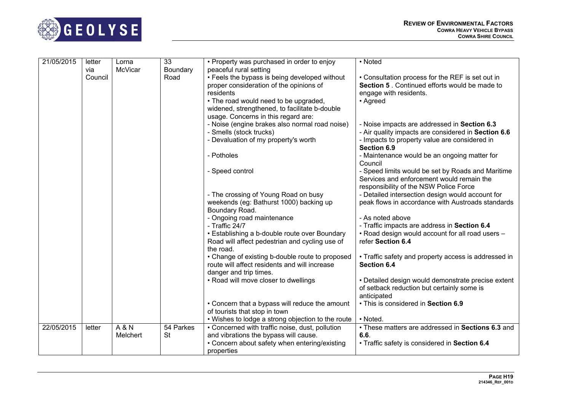

| 21/05/2015 | letter         | Lorna    | 33               | • Property was purchased in order to enjoy                              | • Noted                                                               |
|------------|----------------|----------|------------------|-------------------------------------------------------------------------|-----------------------------------------------------------------------|
|            | via<br>Council | McVicar  | Boundary<br>Road | peaceful rural setting<br>• Feels the bypass is being developed without | • Consultation process for the REF is set out in                      |
|            |                |          |                  | proper consideration of the opinions of                                 | Section 5. Continued efforts would be made to                         |
|            |                |          |                  | residents                                                               | engage with residents.                                                |
|            |                |          |                  | • The road would need to be upgraded,                                   | • Agreed                                                              |
|            |                |          |                  | widened, strengthened, to facilitate b-double                           |                                                                       |
|            |                |          |                  | usage. Concerns in this regard are:                                     |                                                                       |
|            |                |          |                  | - Noise (engine brakes also normal road noise)                          | - Noise impacts are addressed in Section 6.3                          |
|            |                |          |                  | - Smells (stock trucks)                                                 | - Air quality impacts are considered in Section 6.6                   |
|            |                |          |                  | - Devaluation of my property's worth                                    | - Impacts to property value are considered in                         |
|            |                |          |                  |                                                                         | Section 6.9                                                           |
|            |                |          |                  | - Potholes                                                              | - Maintenance would be an ongoing matter for                          |
|            |                |          |                  |                                                                         | Council                                                               |
|            |                |          |                  | - Speed control                                                         | - Speed limits would be set by Roads and Maritime                     |
|            |                |          |                  |                                                                         | Services and enforcement would remain the                             |
|            |                |          |                  |                                                                         | responsibility of the NSW Police Force                                |
|            |                |          |                  | - The crossing of Young Road on busy                                    | - Detailed intersection design would account for                      |
|            |                |          |                  | weekends (eg: Bathurst 1000) backing up                                 | peak flows in accordance with Austroads standards                     |
|            |                |          |                  | Boundary Road.                                                          |                                                                       |
|            |                |          |                  | - Ongoing road maintenance                                              | - As noted above                                                      |
|            |                |          |                  | - Traffic 24/7                                                          | - Traffic impacts are address in Section 6.4                          |
|            |                |          |                  | • Establishing a b-double route over Boundary                           | . Road design would account for all road users -<br>refer Section 6.4 |
|            |                |          |                  | Road will affect pedestrian and cycling use of<br>the road.             |                                                                       |
|            |                |          |                  | • Change of existing b-double route to proposed                         | • Traffic safety and property access is addressed in                  |
|            |                |          |                  | route will affect residents and will increase                           | Section 6.4                                                           |
|            |                |          |                  | danger and trip times.                                                  |                                                                       |
|            |                |          |                  | • Road will move closer to dwellings                                    | • Detailed design would demonstrate precise extent                    |
|            |                |          |                  |                                                                         | of setback reduction but certainly some is                            |
|            |                |          |                  |                                                                         | anticipated                                                           |
|            |                |          |                  | • Concern that a bypass will reduce the amount                          | • This is considered in Section 6.9                                   |
|            |                |          |                  | of tourists that stop in town                                           |                                                                       |
|            |                |          |                  | • Wishes to lodge a strong objection to the route                       | • Noted.                                                              |
| 22/05/2015 | letter         | A & N    | 54 Parkes        | • Concerned with traffic noise, dust, pollution                         | • These matters are addressed in Sections 6.3 and                     |
|            |                | Melchert | <b>St</b>        | and vibrations the bypass will cause.                                   | 6.6.                                                                  |
|            |                |          |                  | • Concern about safety when entering/existing                           | • Traffic safety is considered in Section 6.4                         |
|            |                |          |                  | properties                                                              |                                                                       |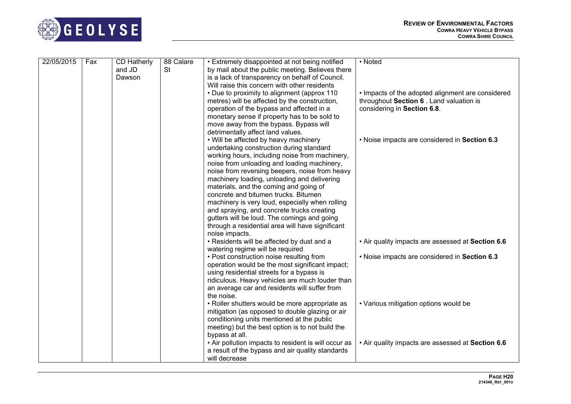

| 22/05/2015 | Fax | CD Hatherly | 88 Calare | • Extremely disappointed at not being notified       | • Noted                                           |
|------------|-----|-------------|-----------|------------------------------------------------------|---------------------------------------------------|
|            |     | and JD      | <b>St</b> | by mail about the public meeting. Believes there     |                                                   |
|            |     | Dawson      |           | is a lack of transparency on behalf of Council.      |                                                   |
|            |     |             |           | Will raise this concern with other residents         |                                                   |
|            |     |             |           | • Due to proximity to alignment (approx 110)         | • Impacts of the adopted alignment are considered |
|            |     |             |           | metres) will be affected by the construction,        | throughout Section 6. Land valuation is           |
|            |     |             |           | operation of the bypass and affected in a            | considering in Section 6.8.                       |
|            |     |             |           | monetary sense if property has to be sold to         |                                                   |
|            |     |             |           | move away from the bypass. Bypass will               |                                                   |
|            |     |             |           | detrimentally affect land values.                    |                                                   |
|            |     |             |           | • Will be affected by heavy machinery                | . Noise impacts are considered in Section 6.3     |
|            |     |             |           | undertaking construction during standard             |                                                   |
|            |     |             |           | working hours, including noise from machinery,       |                                                   |
|            |     |             |           | noise from unloading and loading machinery,          |                                                   |
|            |     |             |           | noise from reversing beepers, noise from heavy       |                                                   |
|            |     |             |           | machinery loading, unloading and delivering          |                                                   |
|            |     |             |           | materials, and the coming and going of               |                                                   |
|            |     |             |           | concrete and bitumen trucks. Bitumen                 |                                                   |
|            |     |             |           | machinery is very loud, especially when rolling      |                                                   |
|            |     |             |           | and spraying, and concrete trucks creating           |                                                   |
|            |     |             |           | gutters will be loud. The comings and going          |                                                   |
|            |     |             |           | through a residential area will have significant     |                                                   |
|            |     |             |           | noise impacts.                                       |                                                   |
|            |     |             |           | • Residents will be affected by dust and a           | . Air quality impacts are assessed at Section 6.6 |
|            |     |             |           | watering regime will be required                     |                                                   |
|            |     |             |           | • Post construction noise resulting from             | . Noise impacts are considered in Section 6.3     |
|            |     |             |           | operation would be the most significant impact;      |                                                   |
|            |     |             |           | using residential streets for a bypass is            |                                                   |
|            |     |             |           | ridiculous. Heavy vehicles are much louder than      |                                                   |
|            |     |             |           | an average car and residents will suffer from        |                                                   |
|            |     |             |           | the noise.                                           |                                                   |
|            |     |             |           | • Roller shutters would be more appropriate as       | • Various mitigation options would be             |
|            |     |             |           | mitigation (as opposed to double glazing or air      |                                                   |
|            |     |             |           | conditioning units mentioned at the public           |                                                   |
|            |     |             |           | meeting) but the best option is to not build the     |                                                   |
|            |     |             |           | bypass at all.                                       |                                                   |
|            |     |             |           | • Air pollution impacts to resident is will occur as | . Air quality impacts are assessed at Section 6.6 |
|            |     |             |           | a result of the bypass and air quality standards     |                                                   |
|            |     |             |           | will decrease                                        |                                                   |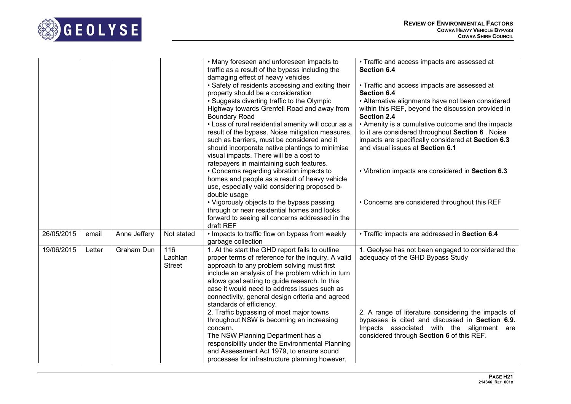

|            |        |              |                                 | • Many foreseen and unforeseen impacts to<br>traffic as a result of the bypass including the<br>damaging effect of heavy vehicles<br>• Safety of residents accessing and exiting their<br>property should be a consideration<br>• Suggests diverting traffic to the Olympic<br>Highway towards Grenfell Road and away from<br><b>Boundary Road</b><br>• Loss of rural residential amenity will occur as a<br>result of the bypass. Noise mitigation measures,<br>such as barriers, must be considered and it<br>should incorporate native plantings to minimise<br>visual impacts. There will be a cost to | • Traffic and access impacts are assessed at<br>Section 6.4<br>• Traffic and access impacts are assessed at<br>Section 6.4<br>• Alternative alignments have not been considered<br>within this REF, beyond the discussion provided in<br><b>Section 2.4</b><br>• Amenity is a cumulative outcome and the impacts<br>to it are considered throughout Section 6. Noise<br>impacts are specifically considered at Section 6.3<br>and visual issues at Section 6.1 |
|------------|--------|--------------|---------------------------------|------------------------------------------------------------------------------------------------------------------------------------------------------------------------------------------------------------------------------------------------------------------------------------------------------------------------------------------------------------------------------------------------------------------------------------------------------------------------------------------------------------------------------------------------------------------------------------------------------------|----------------------------------------------------------------------------------------------------------------------------------------------------------------------------------------------------------------------------------------------------------------------------------------------------------------------------------------------------------------------------------------------------------------------------------------------------------------|
|            |        |              |                                 | ratepayers in maintaining such features.<br>• Concerns regarding vibration impacts to<br>homes and people as a result of heavy vehicle<br>use, especially valid considering proposed b-<br>double usage<br>• Vigorously objects to the bypass passing                                                                                                                                                                                                                                                                                                                                                      | . Vibration impacts are considered in Section 6.3<br>• Concerns are considered throughout this REF                                                                                                                                                                                                                                                                                                                                                             |
|            |        |              |                                 | through or near residential homes and looks<br>forward to seeing all concerns addressed in the<br>draft REF                                                                                                                                                                                                                                                                                                                                                                                                                                                                                                |                                                                                                                                                                                                                                                                                                                                                                                                                                                                |
| 26/05/2015 | email  | Anne Jeffery | Not stated                      | . Impacts to traffic flow on bypass from weekly<br>garbage collection                                                                                                                                                                                                                                                                                                                                                                                                                                                                                                                                      | · Traffic impacts are addressed in Section 6.4                                                                                                                                                                                                                                                                                                                                                                                                                 |
| 19/06/2015 | Letter | Graham Dun   | 116<br>Lachlan<br><b>Street</b> | 1. At the start the GHD report fails to outline<br>proper terms of reference for the inquiry. A valid<br>approach to any problem solving must first<br>include an analysis of the problem which in turn<br>allows goal setting to guide research. In this<br>case it would need to address issues such as<br>connectivity, general design criteria and agreed<br>standards of efficiency.                                                                                                                                                                                                                  | 1. Geolyse has not been engaged to considered the<br>adequacy of the GHD Bypass Study                                                                                                                                                                                                                                                                                                                                                                          |
|            |        |              |                                 | 2. Traffic bypassing of most major towns<br>throughout NSW is becoming an increasing<br>concern.<br>The NSW Planning Department has a<br>responsibility under the Environmental Planning<br>and Assessment Act 1979, to ensure sound<br>processes for infrastructure planning however,                                                                                                                                                                                                                                                                                                                     | 2. A range of literature considering the impacts of<br>bypasses is cited and discussed in Section 6.9.<br>Impacts associated with the alignment are<br>considered through Section 6 of this REF.                                                                                                                                                                                                                                                               |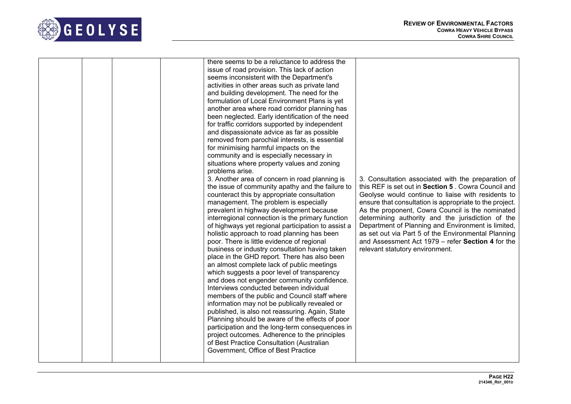

|  | there seems to be a reluctance to address the<br>issue of road provision. This lack of action<br>seems inconsistent with the Department's<br>activities in other areas such as private land<br>and building development. The need for the<br>formulation of Local Environment Plans is yet<br>another area where road corridor planning has<br>been neglected. Early identification of the need<br>for traffic corridors supported by independent<br>and dispassionate advice as far as possible<br>removed from parochial interests, is essential<br>for minimising harmful impacts on the<br>community and is especially necessary in<br>situations where property values and zoning<br>problems arise.<br>3. Another area of concern in road planning is<br>the issue of community apathy and the failure to<br>counteract this by appropriate consultation<br>management. The problem is especially<br>prevalent in highway development because<br>interregional connection is the primary function<br>of highways yet regional participation to assist a<br>holistic approach to road planning has been<br>poor. There is little evidence of regional<br>business or industry consultation having taken<br>place in the GHD report. There has also been<br>an almost complete lack of public meetings<br>which suggests a poor level of transparency<br>and does not engender community confidence.<br>Interviews conducted between individual<br>members of the public and Council staff where<br>information may not be publically revealed or<br>published, is also not reassuring. Again, State<br>Planning should be aware of the effects of poor<br>participation and the long-term consequences in<br>project outcomes. Adherence to the principles<br>of Best Practice Consultation (Australian<br>Government, Office of Best Practice | 3. Consultation associated with the preparation of<br>this REF is set out in Section 5. Cowra Council and<br>Geolyse would continue to liaise with residents to<br>ensure that consultation is appropriate to the project.<br>As the proponent, Cowra Council is the nominated<br>determining authority and the jurisdiction of the<br>Department of Planning and Environment is limited,<br>as set out via Part 5 of the Environmental Planning<br>and Assessment Act 1979 – refer Section 4 for the<br>relevant statutory environment. |
|--|-----------------------------------------------------------------------------------------------------------------------------------------------------------------------------------------------------------------------------------------------------------------------------------------------------------------------------------------------------------------------------------------------------------------------------------------------------------------------------------------------------------------------------------------------------------------------------------------------------------------------------------------------------------------------------------------------------------------------------------------------------------------------------------------------------------------------------------------------------------------------------------------------------------------------------------------------------------------------------------------------------------------------------------------------------------------------------------------------------------------------------------------------------------------------------------------------------------------------------------------------------------------------------------------------------------------------------------------------------------------------------------------------------------------------------------------------------------------------------------------------------------------------------------------------------------------------------------------------------------------------------------------------------------------------------------------------------------------------------------------------------------------------------------------------------------------------------------------------------|------------------------------------------------------------------------------------------------------------------------------------------------------------------------------------------------------------------------------------------------------------------------------------------------------------------------------------------------------------------------------------------------------------------------------------------------------------------------------------------------------------------------------------------|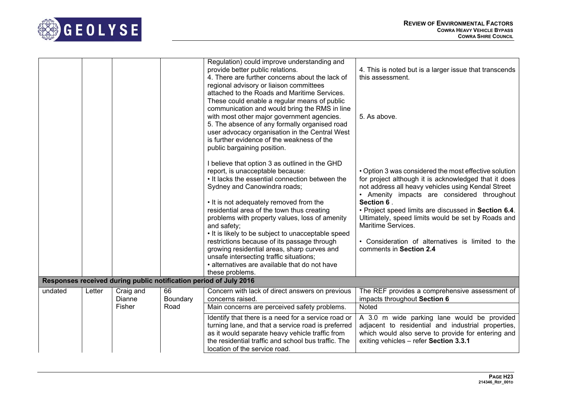

|         |        |                     |                | Regulation) could improve understanding and<br>provide better public relations.<br>4. There are further concerns about the lack of                                                                                                                                                                                                                                                                                                                                                                                                                                                                 | 4. This is noted but is a larger issue that transcends<br>this assessment.                                                                                                                                                                                                                                                                                                                                                                           |
|---------|--------|---------------------|----------------|----------------------------------------------------------------------------------------------------------------------------------------------------------------------------------------------------------------------------------------------------------------------------------------------------------------------------------------------------------------------------------------------------------------------------------------------------------------------------------------------------------------------------------------------------------------------------------------------------|------------------------------------------------------------------------------------------------------------------------------------------------------------------------------------------------------------------------------------------------------------------------------------------------------------------------------------------------------------------------------------------------------------------------------------------------------|
|         |        |                     |                | regional advisory or liaison committees<br>attached to the Roads and Maritime Services.<br>These could enable a regular means of public<br>communication and would bring the RMS in line<br>with most other major government agencies.<br>5. The absence of any formally organised road<br>user advocacy organisation in the Central West<br>is further evidence of the weakness of the<br>public bargaining position.                                                                                                                                                                             | 5. As above.                                                                                                                                                                                                                                                                                                                                                                                                                                         |
|         |        |                     |                | I believe that option 3 as outlined in the GHD<br>report, is unacceptable because:<br>• It lacks the essential connection between the<br>Sydney and Canowindra roads;<br>• It is not adequately removed from the<br>residential area of the town thus creating<br>problems with property values, loss of amenity<br>and safety;<br>• It is likely to be subject to unacceptable speed<br>restrictions because of its passage through<br>growing residential areas, sharp curves and<br>unsafe intersecting traffic situations;<br>• alternatives are available that do not have<br>these problems. | • Option 3 was considered the most effective solution<br>for project although it is acknowledged that it does<br>not address all heavy vehicles using Kendal Street<br>• Amenity impacts are considered throughout<br>Section 6.<br>• Project speed limits are discussed in Section 6.4.<br>Ultimately, speed limits would be set by Roads and<br>Maritime Services.<br>• Consideration of alternatives is limited to the<br>comments in Section 2.4 |
|         |        |                     |                | Responses received during public notification period of July 2016                                                                                                                                                                                                                                                                                                                                                                                                                                                                                                                                  |                                                                                                                                                                                                                                                                                                                                                                                                                                                      |
| undated | Letter | Craig and<br>Dianne | 66<br>Boundary | Concern with lack of direct answers on previous<br>concerns raised.                                                                                                                                                                                                                                                                                                                                                                                                                                                                                                                                | The REF provides a comprehensive assessment of<br>impacts throughout Section 6                                                                                                                                                                                                                                                                                                                                                                       |
|         |        | Fisher              | Road           | Main concerns are perceived safety problems.                                                                                                                                                                                                                                                                                                                                                                                                                                                                                                                                                       | <b>Noted</b>                                                                                                                                                                                                                                                                                                                                                                                                                                         |
|         |        |                     |                | Identify that there is a need for a service road or<br>turning lane, and that a service road is preferred<br>as it would separate heavy vehicle traffic from<br>the residential traffic and school bus traffic. The<br>location of the service road.                                                                                                                                                                                                                                                                                                                                               | A 3.0 m wide parking lane would be provided<br>adjacent to residential and industrial properties,<br>which would also serve to provide for entering and<br>exiting vehicles - refer Section 3.3.1                                                                                                                                                                                                                                                    |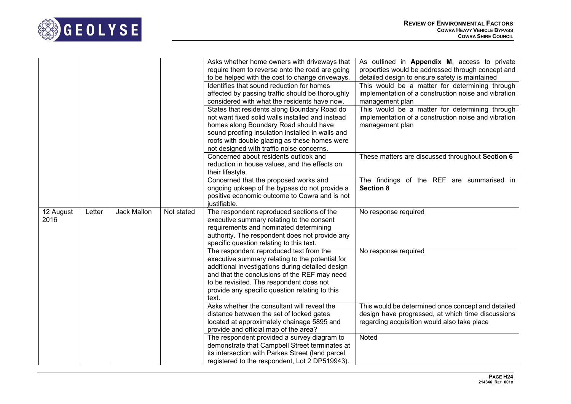

|                   |        |                    |            | Asks whether home owners with driveways that<br>require them to reverse onto the road are going<br>to be helped with the cost to change driveways.<br>Identifies that sound reduction for homes<br>affected by passing traffic should be thoroughly<br>considered with what the residents have now.<br>States that residents along Boundary Road do<br>not want fixed solid walls installed and instead<br>homes along Boundary Road should have<br>sound proofing insulation installed in walls and<br>roofs with double glazing as these homes were<br>not designed with traffic noise concerns. | As outlined in Appendix M, access to private<br>properties would be addressed through concept and<br>detailed design to ensure safety is maintained<br>This would be a matter for determining through<br>implementation of a construction noise and vibration<br>management plan<br>This would be a matter for determining through<br>implementation of a construction noise and vibration<br>management plan |
|-------------------|--------|--------------------|------------|----------------------------------------------------------------------------------------------------------------------------------------------------------------------------------------------------------------------------------------------------------------------------------------------------------------------------------------------------------------------------------------------------------------------------------------------------------------------------------------------------------------------------------------------------------------------------------------------------|---------------------------------------------------------------------------------------------------------------------------------------------------------------------------------------------------------------------------------------------------------------------------------------------------------------------------------------------------------------------------------------------------------------|
|                   |        |                    |            | Concerned about residents outlook and<br>reduction in house values, and the effects on<br>their lifestyle.                                                                                                                                                                                                                                                                                                                                                                                                                                                                                         | These matters are discussed throughout Section 6                                                                                                                                                                                                                                                                                                                                                              |
|                   |        |                    |            | Concerned that the proposed works and<br>ongoing upkeep of the bypass do not provide a<br>positive economic outcome to Cowra and is not<br>justifiable.                                                                                                                                                                                                                                                                                                                                                                                                                                            | The findings of the REF are summarised in<br><b>Section 8</b>                                                                                                                                                                                                                                                                                                                                                 |
| 12 August<br>2016 | Letter | <b>Jack Mallon</b> | Not stated | The respondent reproduced sections of the<br>executive summary relating to the consent<br>requirements and nominated determining<br>authority. The respondent does not provide any<br>specific question relating to this text.                                                                                                                                                                                                                                                                                                                                                                     | No response required                                                                                                                                                                                                                                                                                                                                                                                          |
|                   |        |                    |            | The respondent reproduced text from the<br>executive summary relating to the potential for<br>additional investigations during detailed design<br>and that the conclusions of the REF may need<br>to be revisited. The respondent does not<br>provide any specific question relating to this<br>text.                                                                                                                                                                                                                                                                                              | No response required                                                                                                                                                                                                                                                                                                                                                                                          |
|                   |        |                    |            | Asks whether the consultant will reveal the<br>distance between the set of locked gates<br>located at approximately chainage 5895 and<br>provide and official map of the area?                                                                                                                                                                                                                                                                                                                                                                                                                     | This would be determined once concept and detailed<br>design have progressed, at which time discussions<br>regarding acquisition would also take place                                                                                                                                                                                                                                                        |
|                   |        |                    |            | The respondent provided a survey diagram to<br>demonstrate that Campbell Street terminates at<br>its intersection with Parkes Street (land parcel<br>registered to the respondent, Lot 2 DP519943).                                                                                                                                                                                                                                                                                                                                                                                                | <b>Noted</b>                                                                                                                                                                                                                                                                                                                                                                                                  |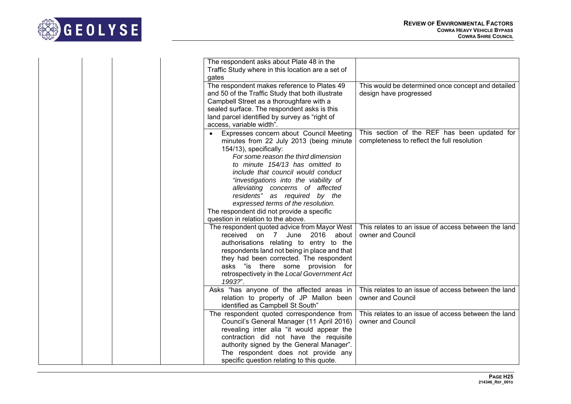

| The respondent asks about Plate 48 in the<br>Traffic Study where in this location are a set of<br>gates                                                                                                                                                                                                                                                                                                                                                                          |                                                                                             |
|----------------------------------------------------------------------------------------------------------------------------------------------------------------------------------------------------------------------------------------------------------------------------------------------------------------------------------------------------------------------------------------------------------------------------------------------------------------------------------|---------------------------------------------------------------------------------------------|
| The respondent makes reference to Plates 49<br>and 50 of the Traffic Study that both illustrate<br>Campbell Street as a thoroughfare with a<br>sealed surface. The respondent asks is this<br>land parcel identified by survey as "right of<br>access, variable width".                                                                                                                                                                                                          | This would be determined once concept and detailed<br>design have progressed                |
| Expresses concern about Council Meeting<br>$\bullet$<br>minutes from 22 July 2013 (being minute<br>154/13), specifically:<br>For some reason the third dimension<br>to minute 154/13 has omitted to<br>include that council would conduct<br>"investigations into the viability of<br>alleviating concerns of affected<br>residents" as required by the<br>expressed terms of the resolution.<br>The respondent did not provide a specific<br>question in relation to the above. | This section of the REF has been updated for<br>completeness to reflect the full resolution |
| The respondent quoted advice from Mayor West<br>June<br>2016<br>about<br>received<br>on 7<br>authorisations relating to entry to the<br>respondents land not being in place and that<br>they had been corrected. The respondent<br>asks "is there some provision for<br>retrospectivety in the Local Government Act<br>1993?".                                                                                                                                                   | This relates to an issue of access between the land<br>owner and Council                    |
| Asks "has anyone of the affected areas in<br>relation to property of JP Mallon been<br>identified as Campbell St South"                                                                                                                                                                                                                                                                                                                                                          | This relates to an issue of access between the land<br>owner and Council                    |
| The respondent quoted correspondence from<br>Council's General Manager (11 April 2016)<br>revealing inter alia "it would appear the<br>contraction did not have the requisite<br>authority signed by the General Manager".<br>The respondent does not provide any<br>specific question relating to this quote.                                                                                                                                                                   | This relates to an issue of access between the land<br>owner and Council                    |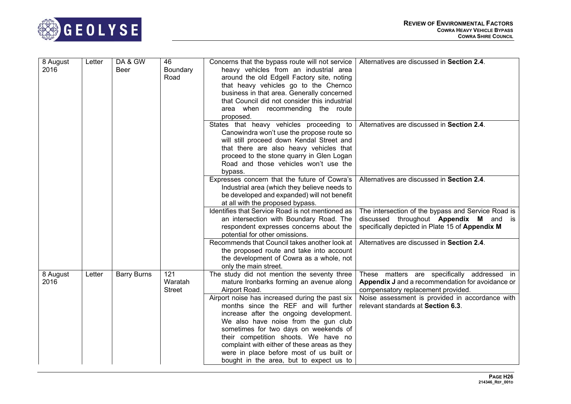

| 8 August<br>2016 | Letter | DA & GW<br>Beer    | 46<br>Boundary<br>Road          | Concerns that the bypass route will not service<br>heavy vehicles from an industrial area<br>around the old Edgell Factory site, noting<br>that heavy vehicles go to the Chernco<br>business in that area. Generally concerned<br>that Council did not consider this industrial<br>area when recommending the route<br>proposed.                                                                    | Alternatives are discussed in Section 2.4.                                                                                                             |
|------------------|--------|--------------------|---------------------------------|-----------------------------------------------------------------------------------------------------------------------------------------------------------------------------------------------------------------------------------------------------------------------------------------------------------------------------------------------------------------------------------------------------|--------------------------------------------------------------------------------------------------------------------------------------------------------|
|                  |        |                    |                                 | States that heavy vehicles proceeding to<br>Canowindra won't use the propose route so<br>will still proceed down Kendal Street and<br>that there are also heavy vehicles that<br>proceed to the stone quarry in Glen Logan<br>Road and those vehicles won't use the<br>bypass.                                                                                                                      | Alternatives are discussed in Section 2.4.                                                                                                             |
|                  |        |                    |                                 | Expresses concern that the future of Cowra's<br>Industrial area (which they believe needs to<br>be developed and expanded) will not benefit<br>at all with the proposed bypass.                                                                                                                                                                                                                     | Alternatives are discussed in Section 2.4.                                                                                                             |
|                  |        |                    |                                 | Identifies that Service Road is not mentioned as<br>an intersection with Boundary Road. The<br>respondent expresses concerns about the<br>potential for other omissions.                                                                                                                                                                                                                            | The intersection of the bypass and Service Road is<br>discussed throughout <b>Appendix M</b> and is<br>specifically depicted in Plate 15 of Appendix M |
|                  |        |                    |                                 | Recommends that Council takes another look at<br>the proposed route and take into account<br>the development of Cowra as a whole, not<br>only the main street.                                                                                                                                                                                                                                      | Alternatives are discussed in Section 2.4.                                                                                                             |
| 8 August<br>2016 | Letter | <b>Barry Burns</b> | 121<br>Waratah<br><b>Street</b> | The study did not mention the seventy three<br>mature Ironbarks forming an avenue along<br>Airport Road.                                                                                                                                                                                                                                                                                            | These matters are specifically addressed in<br>Appendix J and a recommendation for avoidance or<br>compensatory replacement provided.                  |
|                  |        |                    |                                 | Airport noise has increased during the past six<br>months since the REF and will further<br>increase after the ongoing development.<br>We also have noise from the gun club<br>sometimes for two days on weekends of<br>their competition shoots. We have no<br>complaint with either of these areas as they<br>were in place before most of us built or<br>bought in the area, but to expect us to | Noise assessment is provided in accordance with<br>relevant standards at Section 6.3.                                                                  |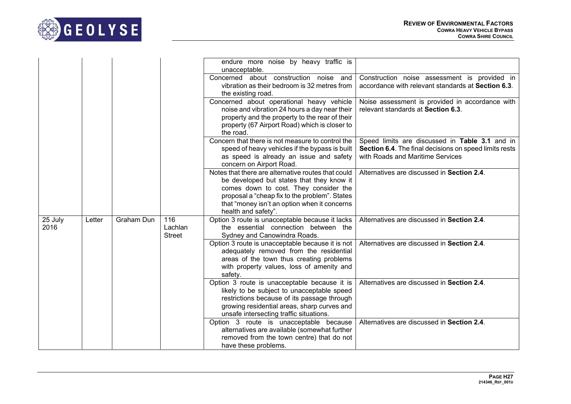

|                 |        |                   |                                 | endure more noise by heavy traffic is<br>unacceptable.                                                                                                                                                                                                           |                                                                                                                                              |
|-----------------|--------|-------------------|---------------------------------|------------------------------------------------------------------------------------------------------------------------------------------------------------------------------------------------------------------------------------------------------------------|----------------------------------------------------------------------------------------------------------------------------------------------|
|                 |        |                   |                                 | Concerned about construction noise and<br>vibration as their bedroom is 32 metres from<br>the existing road.                                                                                                                                                     | Construction noise assessment is provided in<br>accordance with relevant standards at Section 6.3.                                           |
|                 |        |                   |                                 | Concerned about operational heavy vehicle<br>noise and vibration 24 hours a day near their<br>property and the property to the rear of their<br>property (67 Airport Road) which is closer to<br>the road.                                                       | Noise assessment is provided in accordance with<br>relevant standards at Section 6.3.                                                        |
|                 |        |                   |                                 | Concern that there is not measure to control the<br>speed of heavy vehicles if the bypass is built<br>as speed is already an issue and safety<br>concern on Airport Road.                                                                                        | Speed limits are discussed in Table 3.1 and in<br>Section 6.4. The final decisions on speed limits rests<br>with Roads and Maritime Services |
|                 |        |                   |                                 | Notes that there are alternative routes that could<br>be developed but states that they know it<br>comes down to cost. They consider the<br>proposal a "cheap fix to the problem". States<br>that "money isn't an option when it concerns<br>health and safety". | Alternatives are discussed in Section 2.4.                                                                                                   |
| 25 July<br>2016 | Letter | <b>Graham Dun</b> | 116<br>Lachlan<br><b>Street</b> | Option 3 route is unacceptable because it lacks<br>the essential connection between the<br>Sydney and Canowindra Roads.                                                                                                                                          | Alternatives are discussed in Section 2.4.                                                                                                   |
|                 |        |                   |                                 | Option 3 route is unacceptable because it is not<br>adequately removed from the residential<br>areas of the town thus creating problems<br>with property values, loss of amenity and<br>safety.                                                                  | Alternatives are discussed in Section 2.4.                                                                                                   |
|                 |        |                   |                                 | Option 3 route is unacceptable because it is<br>likely to be subject to unacceptable speed<br>restrictions because of its passage through<br>growing residential areas, sharp curves and<br>unsafe intersecting traffic situations.                              | Alternatives are discussed in Section 2.4.                                                                                                   |
|                 |        |                   |                                 | Option 3 route is unacceptable because<br>alternatives are available (somewhat further<br>removed from the town centre) that do not<br>have these problems.                                                                                                      | Alternatives are discussed in Section 2.4.                                                                                                   |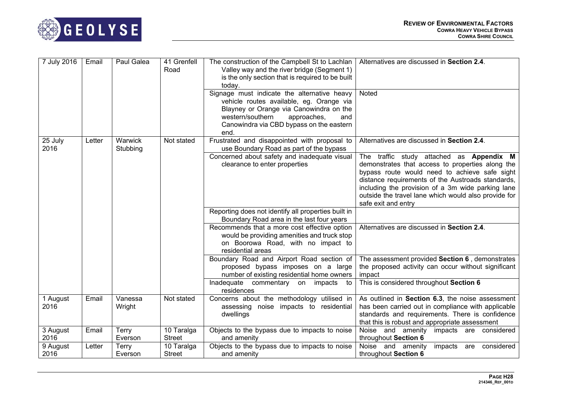



| 7 July 2016      | Email  | Paul Galea              | 41 Grenfell<br>Road         | The construction of the Campbell St to Lachlan<br>Valley way and the river bridge (Segment 1)<br>is the only section that is required to be built<br>today.                                                                      | Alternatives are discussed in Section 2.4.                                                                                                                                                                                                                                                                                             |
|------------------|--------|-------------------------|-----------------------------|----------------------------------------------------------------------------------------------------------------------------------------------------------------------------------------------------------------------------------|----------------------------------------------------------------------------------------------------------------------------------------------------------------------------------------------------------------------------------------------------------------------------------------------------------------------------------------|
|                  |        |                         |                             | Signage must indicate the alternative heavy<br>vehicle routes available, eg. Orange via<br>Blayney or Orange via Canowindra on the<br>western/southern<br>approaches,<br>and<br>Canowindra via CBD bypass on the eastern<br>end. | Noted                                                                                                                                                                                                                                                                                                                                  |
| 25 July<br>2016  | Letter | Warwick<br>Stubbing     | Not stated                  | Frustrated and disappointed with proposal to<br>use Boundary Road as part of the bypass                                                                                                                                          | Alternatives are discussed in Section 2.4.                                                                                                                                                                                                                                                                                             |
|                  |        |                         |                             | Concerned about safety and inadequate visual<br>clearance to enter properties                                                                                                                                                    | The traffic study attached as Appendix M<br>demonstrates that access to properties along the<br>bypass route would need to achieve safe sight<br>distance requirements of the Austroads standards,<br>including the provision of a 3m wide parking lane<br>outside the travel lane which would also provide for<br>safe exit and entry |
|                  |        |                         |                             | Reporting does not identify all properties built in<br>Boundary Road area in the last four years                                                                                                                                 |                                                                                                                                                                                                                                                                                                                                        |
|                  |        |                         |                             | Recommends that a more cost effective option<br>would be providing amenities and truck stop<br>on Boorowa Road, with no impact to<br>residential areas                                                                           | Alternatives are discussed in Section 2.4.                                                                                                                                                                                                                                                                                             |
|                  |        |                         |                             | Boundary Road and Airport Road section of<br>proposed bypass imposes on a large<br>number of existing residential home owners                                                                                                    | The assessment provided Section 6, demonstrates<br>the proposed activity can occur without significant<br>impact                                                                                                                                                                                                                       |
|                  |        |                         |                             | Inadequate commentary on<br>impacts<br>to<br>residences                                                                                                                                                                          | This is considered throughout Section 6                                                                                                                                                                                                                                                                                                |
| 1 August<br>2016 | Email  | Vanessa<br>Wright       | Not stated                  | Concerns about the methodology utilised in<br>assessing noise impacts to residential<br>dwellings                                                                                                                                | As outlined in Section 6.3, the noise assessment<br>has been carried out in compliance with applicable<br>standards and requirements. There is confidence<br>that this is robust and appropriate assessment                                                                                                                            |
| 3 August<br>2016 | Email  | <b>Terry</b><br>Everson | 10 Taralga<br><b>Street</b> | Objects to the bypass due to impacts to noise<br>and amenity                                                                                                                                                                     | Noise and amenity<br>impacts are considered<br>throughout Section 6                                                                                                                                                                                                                                                                    |
| 9 August<br>2016 | Letter | Terry<br>Everson        | 10 Taralga<br><b>Street</b> | Objects to the bypass due to impacts to noise<br>and amenity                                                                                                                                                                     | Noise and amenity<br>impacts are considered<br>throughout Section 6                                                                                                                                                                                                                                                                    |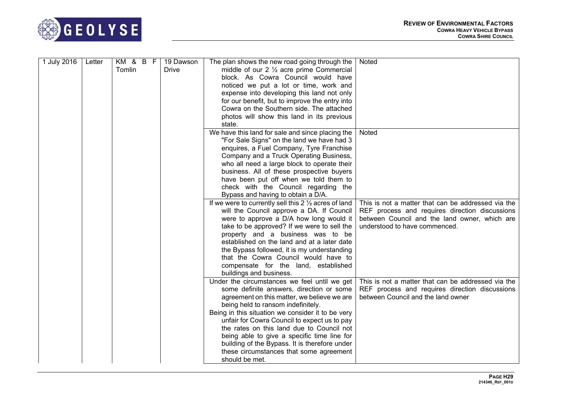

| 1 July 2016 | Letter | KM & B F<br>Tomlin | 19 Dawson<br>Drive | The plan shows the new road going through the<br>middle of our $2 \frac{1}{2}$ acre prime Commercial<br>block. As Cowra Council would have<br>noticed we put a lot or time, work and<br>expense into developing this land not only<br>for our benefit, but to improve the entry into<br>Cowra on the Southern side. The attached<br>photos will show this land in its previous<br>state.                                                                                                     | Noted                                                                                                                                                                                  |
|-------------|--------|--------------------|--------------------|----------------------------------------------------------------------------------------------------------------------------------------------------------------------------------------------------------------------------------------------------------------------------------------------------------------------------------------------------------------------------------------------------------------------------------------------------------------------------------------------|----------------------------------------------------------------------------------------------------------------------------------------------------------------------------------------|
|             |        |                    |                    | We have this land for sale and since placing the<br>"For Sale Signs" on the land we have had 3<br>enquires, a Fuel Company, Tyre Franchise<br>Company and a Truck Operating Business,<br>who all need a large block to operate their<br>business. All of these prospective buyers<br>have been put off when we told them to<br>check with the Council regarding the<br>Bypass and having to obtain a D/A.                                                                                    | <b>Noted</b>                                                                                                                                                                           |
|             |        |                    |                    | If we were to currently sell this $2\frac{1}{2}$ acres of land<br>will the Council approve a DA. If Council<br>were to approve a D/A how long would it<br>take to be approved? If we were to sell the<br>property and a business was to be<br>established on the land and at a later date<br>the Bypass followed, it is my understanding<br>that the Cowra Council would have to<br>compensate for the land, established<br>buildings and business.                                          | This is not a matter that can be addressed via the<br>REF process and requires direction discussions<br>between Council and the land owner, which are<br>understood to have commenced. |
|             |        |                    |                    | Under the circumstances we feel until we get<br>some definite answers, direction or some<br>agreement on this matter, we believe we are<br>being held to ransom indefinitely.<br>Being in this situation we consider it to be very<br>unfair for Cowra Council to expect us to pay<br>the rates on this land due to Council not<br>being able to give a specific time line for<br>building of the Bypass. It is therefore under<br>these circumstances that some agreement<br>should be met. | This is not a matter that can be addressed via the<br>REF process and requires direction discussions<br>between Council and the land owner                                             |